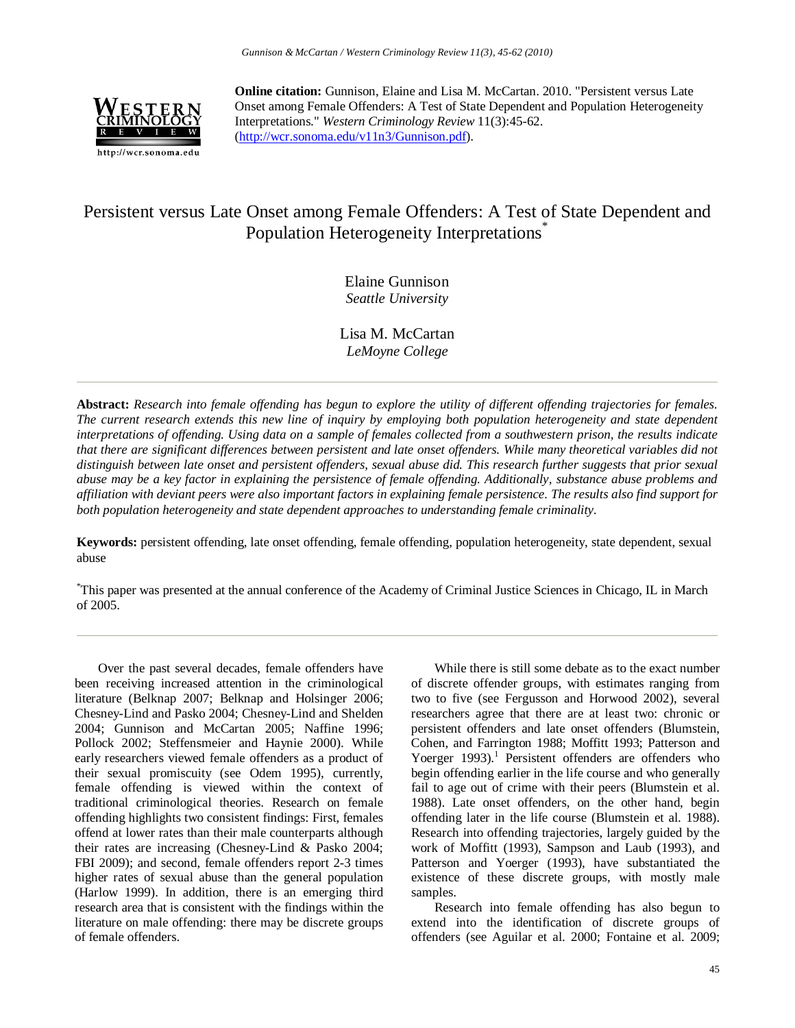

**Online citation:** Gunnison, Elaine and Lisa M. McCartan. 2010. "Persistent versus Late Onset among Female Offenders: A Test of State Dependent and Population Heterogeneity Interpretations." *Western Criminology Review* 11(3):45-62. [\(http://wcr.sonoma.edu/v11n3/Gunnison.pdf\)](http://wcr.sonoma.edu/v11n3/Gunnison.pdf).

# Persistent versus Late Onset among Female Offenders: A Test of State Dependent and Population Heterogeneity Interpretations<sup>\*</sup>

Elaine Gunnison *Seattle University*

Lisa M. McCartan *LeMoyne College*

**Abstract:** *Research into female offending has begun to explore the utility of different offending trajectories for females. The current research extends this new line of inquiry by employing both population heterogeneity and state dependent interpretations of offending. Using data on a sample of females collected from a southwestern prison, the results indicate that there are significant differences between persistent and late onset offenders. While many theoretical variables did not distinguish between late onset and persistent offenders, sexual abuse did. This research further suggests that prior sexual abuse may be a key factor in explaining the persistence of female offending. Additionally, substance abuse problems and affiliation with deviant peers were also important factors in explaining female persistence. The results also find support for both population heterogeneity and state dependent approaches to understanding female criminality.*

**Keywords:** persistent offending, late onset offending, female offending, population heterogeneity, state dependent, sexual abuse

\* This paper was presented at the annual conference of the Academy of Criminal Justice Sciences in Chicago, IL in March of 2005.

Over the past several decades, female offenders have been receiving increased attention in the criminological literature (Belknap 2007; Belknap and Holsinger 2006; Chesney-Lind and Pasko 2004; Chesney-Lind and Shelden 2004; Gunnison and McCartan 2005; Naffine 1996; Pollock 2002; Steffensmeier and Haynie 2000). While early researchers viewed female offenders as a product of their sexual promiscuity (see Odem 1995), currently, female offending is viewed within the context of traditional criminological theories. Research on female offending highlights two consistent findings: First, females offend at lower rates than their male counterparts although their rates are increasing (Chesney-Lind & Pasko 2004; FBI 2009); and second, female offenders report 2-3 times higher rates of sexual abuse than the general population (Harlow 1999). In addition, there is an emerging third research area that is consistent with the findings within the literature on male offending: there may be discrete groups of female offenders.

While there is still some debate as to the exact number of discrete offender groups, with estimates ranging from two to five (see Fergusson and Horwood 2002), several researchers agree that there are at least two: chronic or persistent offenders and late onset offenders (Blumstein, Cohen, and Farrington 1988; Moffitt 1993; Patterson and Yoerger  $1993$ ).<sup>1</sup> Persistent offenders are offenders who begin offending earlier in the life course and who generally fail to age out of crime with their peers (Blumstein et al. 1988). Late onset offenders, on the other hand, begin offending later in the life course (Blumstein et al. 1988). Research into offending trajectories, largely guided by the work of Moffitt (1993), Sampson and Laub (1993), and Patterson and Yoerger (1993), have substantiated the existence of these discrete groups, with mostly male samples.

Research into female offending has also begun to extend into the identification of discrete groups of offenders (see Aguilar et al. 2000; Fontaine et al. 2009;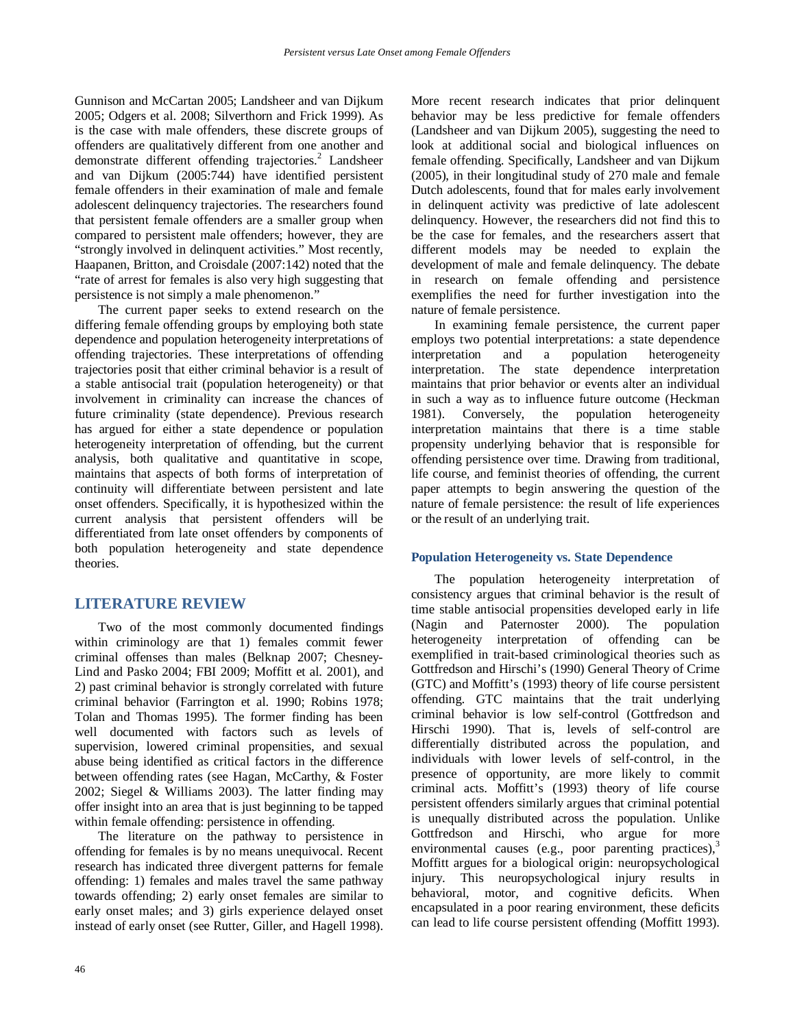Gunnison and McCartan 2005; Landsheer and van Dijkum 2005; Odgers et al. 2008; Silverthorn and Frick 1999). As is the case with male offenders, these discrete groups of offenders are qualitatively different from one another and demonstrate different offending trajectories. $^{2}$  Landsheer and van Dijkum (2005:744) have identified persistent female offenders in their examination of male and female adolescent delinquency trajectories. The researchers found that persistent female offenders are a smaller group when compared to persistent male offenders; however, they are "strongly involved in delinquent activities." Most recently, Haapanen, Britton, and Croisdale (2007:142) noted that the "rate of arrest for females is also very high suggesting that persistence is not simply a male phenomenon."

The current paper seeks to extend research on the differing female offending groups by employing both state dependence and population heterogeneity interpretations of offending trajectories. These interpretations of offending trajectories posit that either criminal behavior is a result of a stable antisocial trait (population heterogeneity) or that involvement in criminality can increase the chances of future criminality (state dependence). Previous research has argued for either a state dependence or population heterogeneity interpretation of offending, but the current analysis, both qualitative and quantitative in scope, maintains that aspects of both forms of interpretation of continuity will differentiate between persistent and late onset offenders. Specifically, it is hypothesized within the current analysis that persistent offenders will be differentiated from late onset offenders by components of both population heterogeneity and state dependence theories.

# **LITERATURE REVIEW**

Two of the most commonly documented findings within criminology are that 1) females commit fewer criminal offenses than males (Belknap 2007; Chesney-Lind and Pasko 2004; FBI 2009; Moffitt et al. 2001), and 2) past criminal behavior is strongly correlated with future criminal behavior (Farrington et al. 1990; Robins 1978; Tolan and Thomas 1995). The former finding has been well documented with factors such as levels of supervision, lowered criminal propensities, and sexual abuse being identified as critical factors in the difference between offending rates (see Hagan, McCarthy, & Foster 2002; Siegel & Williams 2003). The latter finding may offer insight into an area that is just beginning to be tapped within female offending: persistence in offending.

The literature on the pathway to persistence in offending for females is by no means unequivocal. Recent research has indicated three divergent patterns for female offending: 1) females and males travel the same pathway towards offending; 2) early onset females are similar to early onset males; and 3) girls experience delayed onset instead of early onset (see Rutter, Giller, and Hagell 1998). More recent research indicates that prior delinquent behavior may be less predictive for female offenders (Landsheer and van Dijkum 2005), suggesting the need to look at additional social and biological influences on female offending. Specifically, Landsheer and van Dijkum (2005), in their longitudinal study of 270 male and female Dutch adolescents, found that for males early involvement in delinquent activity was predictive of late adolescent delinquency. However, the researchers did not find this to be the case for females, and the researchers assert that different models may be needed to explain the development of male and female delinquency. The debate in research on female offending and persistence exemplifies the need for further investigation into the nature of female persistence.

In examining female persistence, the current paper employs two potential interpretations: a state dependence interpretation and a population heterogeneity interpretation. The state dependence interpretation maintains that prior behavior or events alter an individual in such a way as to influence future outcome (Heckman 1981). Conversely, the population heterogeneity interpretation maintains that there is a time stable propensity underlying behavior that is responsible for offending persistence over time. Drawing from traditional, life course, and feminist theories of offending, the current paper attempts to begin answering the question of the nature of female persistence: the result of life experiences or the result of an underlying trait.

### **Population Heterogeneity vs. State Dependence**

The population heterogeneity interpretation of consistency argues that criminal behavior is the result of time stable antisocial propensities developed early in life (Nagin and Paternoster 2000). The population heterogeneity interpretation of offending can be exemplified in trait-based criminological theories such as Gottfredson and Hirschi's (1990) General Theory of Crime (GTC) and Moffitt's (1993) theory of life course persistent offending. GTC maintains that the trait underlying criminal behavior is low self-control (Gottfredson and Hirschi 1990). That is, levels of self-control are differentially distributed across the population, and individuals with lower levels of self-control, in the presence of opportunity, are more likely to commit criminal acts. Moffitt's (1993) theory of life course persistent offenders similarly argues that criminal potential is unequally distributed across the population. Unlike Gottfredson and Hirschi, who argue for more environmental causes (e.g., poor parenting practices), $3$ Moffitt argues for a biological origin: neuropsychological injury. This neuropsychological injury results in behavioral, motor, and cognitive deficits. When encapsulated in a poor rearing environment, these deficits can lead to life course persistent offending (Moffitt 1993).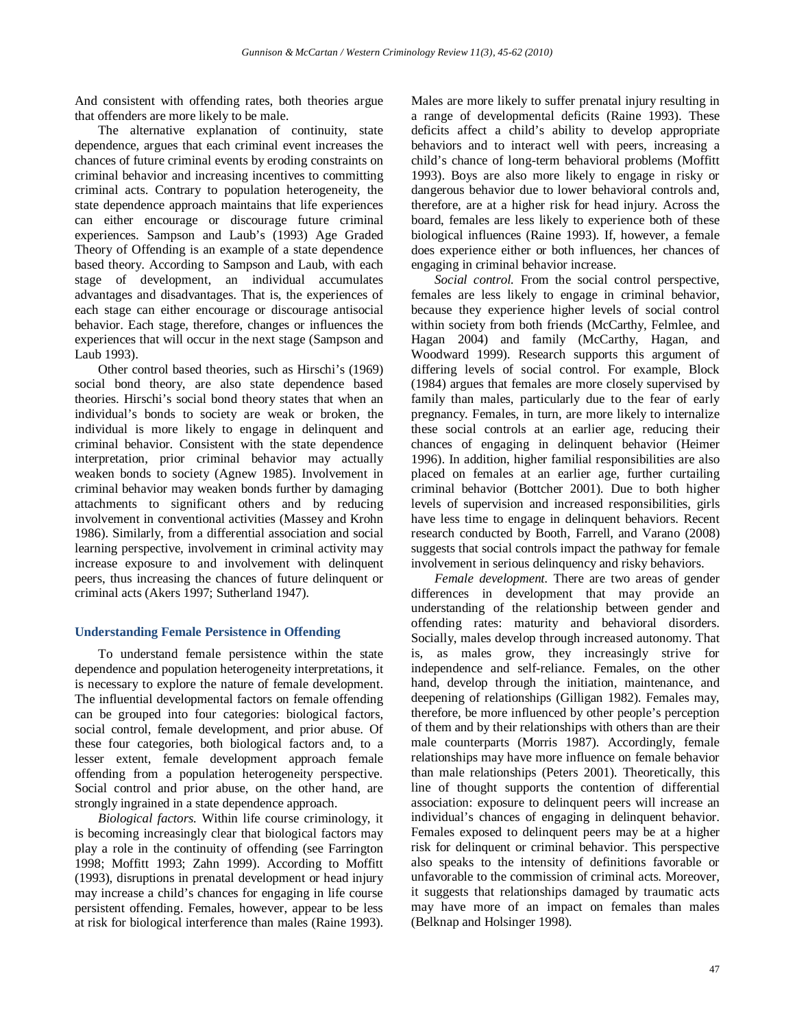And consistent with offending rates, both theories argue that offenders are more likely to be male.

The alternative explanation of continuity, state dependence, argues that each criminal event increases the chances of future criminal events by eroding constraints on criminal behavior and increasing incentives to committing criminal acts. Contrary to population heterogeneity, the state dependence approach maintains that life experiences can either encourage or discourage future criminal experiences. Sampson and Laub's (1993) Age Graded Theory of Offending is an example of a state dependence based theory. According to Sampson and Laub, with each stage of development, an individual accumulates advantages and disadvantages. That is, the experiences of each stage can either encourage or discourage antisocial behavior. Each stage, therefore, changes or influences the experiences that will occur in the next stage (Sampson and Laub 1993).

Other control based theories, such as Hirschi's (1969) social bond theory, are also state dependence based theories. Hirschi's social bond theory states that when an individual's bonds to society are weak or broken, the individual is more likely to engage in delinquent and criminal behavior. Consistent with the state dependence interpretation, prior criminal behavior may actually weaken bonds to society (Agnew 1985). Involvement in criminal behavior may weaken bonds further by damaging attachments to significant others and by reducing involvement in conventional activities (Massey and Krohn 1986). Similarly, from a differential association and social learning perspective, involvement in criminal activity may increase exposure to and involvement with delinquent peers, thus increasing the chances of future delinquent or criminal acts (Akers 1997; Sutherland 1947).

# **Understanding Female Persistence in Offending**

To understand female persistence within the state dependence and population heterogeneity interpretations, it is necessary to explore the nature of female development. The influential developmental factors on female offending can be grouped into four categories: biological factors, social control, female development, and prior abuse. Of these four categories, both biological factors and, to a lesser extent, female development approach female offending from a population heterogeneity perspective. Social control and prior abuse, on the other hand, are strongly ingrained in a state dependence approach.

*Biological factors.* Within life course criminology, it is becoming increasingly clear that biological factors may play a role in the continuity of offending (see Farrington 1998; Moffitt 1993; Zahn 1999). According to Moffitt (1993), disruptions in prenatal development or head injury may increase a child's chances for engaging in life course persistent offending. Females, however, appear to be less at risk for biological interference than males (Raine 1993). Males are more likely to suffer prenatal injury resulting in a range of developmental deficits (Raine 1993). These deficits affect a child's ability to develop appropriate behaviors and to interact well with peers, increasing a child's chance of long-term behavioral problems (Moffitt 1993). Boys are also more likely to engage in risky or dangerous behavior due to lower behavioral controls and, therefore, are at a higher risk for head injury. Across the board, females are less likely to experience both of these biological influences (Raine 1993). If, however, a female does experience either or both influences, her chances of engaging in criminal behavior increase.

*Social control.* From the social control perspective, females are less likely to engage in criminal behavior, because they experience higher levels of social control within society from both friends (McCarthy, Felmlee, and Hagan 2004) and family (McCarthy, Hagan, and Woodward 1999). Research supports this argument of differing levels of social control. For example, Block (1984) argues that females are more closely supervised by family than males, particularly due to the fear of early pregnancy. Females, in turn, are more likely to internalize these social controls at an earlier age, reducing their chances of engaging in delinquent behavior (Heimer 1996). In addition, higher familial responsibilities are also placed on females at an earlier age, further curtailing criminal behavior (Bottcher 2001). Due to both higher levels of supervision and increased responsibilities, girls have less time to engage in delinquent behaviors. Recent research conducted by Booth, Farrell, and Varano (2008) suggests that social controls impact the pathway for female involvement in serious delinquency and risky behaviors.

*Female development.* There are two areas of gender differences in development that may provide an understanding of the relationship between gender and offending rates: maturity and behavioral disorders. Socially, males develop through increased autonomy. That is, as males grow, they increasingly strive for independence and self-reliance. Females, on the other hand, develop through the initiation, maintenance, and deepening of relationships (Gilligan 1982). Females may, therefore, be more influenced by other people's perception of them and by their relationships with others than are their male counterparts (Morris 1987). Accordingly, female relationships may have more influence on female behavior than male relationships (Peters 2001). Theoretically, this line of thought supports the contention of differential association: exposure to delinquent peers will increase an individual's chances of engaging in delinquent behavior. Females exposed to delinquent peers may be at a higher risk for delinquent or criminal behavior. This perspective also speaks to the intensity of definitions favorable or unfavorable to the commission of criminal acts. Moreover, it suggests that relationships damaged by traumatic acts may have more of an impact on females than males (Belknap and Holsinger 1998).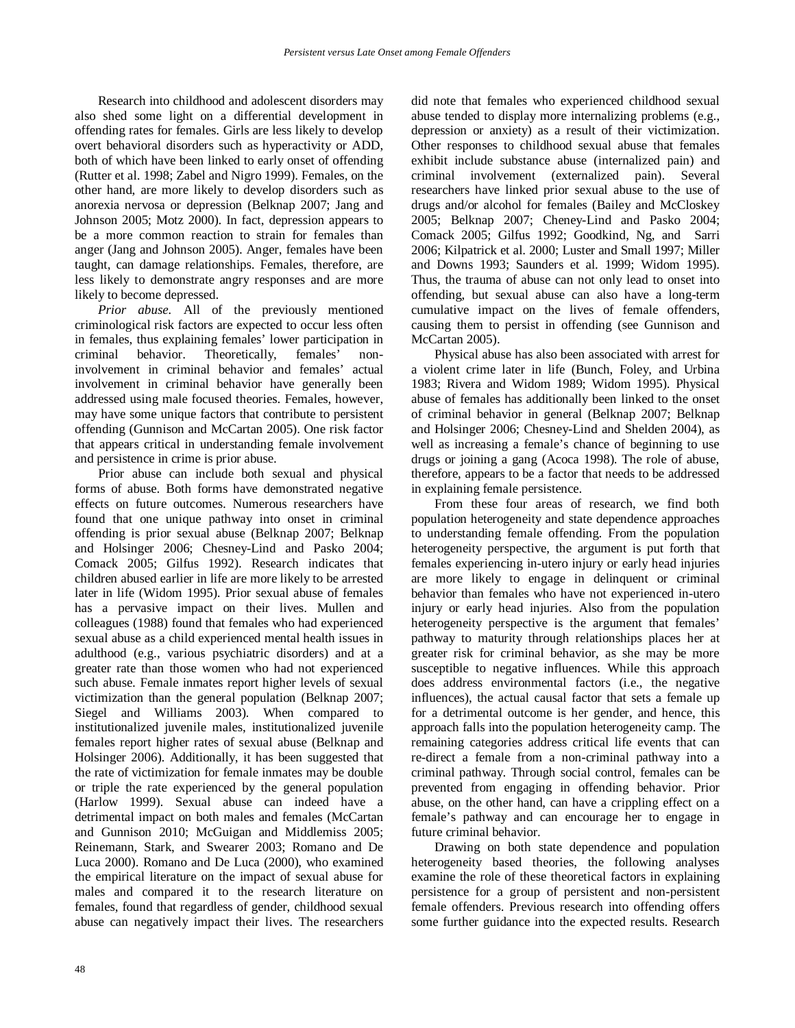Research into childhood and adolescent disorders may also shed some light on a differential development in offending rates for females. Girls are less likely to develop overt behavioral disorders such as hyperactivity or ADD, both of which have been linked to early onset of offending (Rutter et al. 1998; Zabel and Nigro 1999). Females, on the other hand, are more likely to develop disorders such as anorexia nervosa or depression (Belknap 2007; Jang and Johnson 2005; Motz 2000). In fact, depression appears to be a more common reaction to strain for females than anger (Jang and Johnson 2005). Anger, females have been taught, can damage relationships. Females, therefore, are less likely to demonstrate angry responses and are more likely to become depressed.

*Prior abuse.* All of the previously mentioned criminological risk factors are expected to occur less often in females, thus explaining females' lower participation in criminal behavior. Theoretically, females' noninvolvement in criminal behavior and females' actual involvement in criminal behavior have generally been addressed using male focused theories. Females, however, may have some unique factors that contribute to persistent offending (Gunnison and McCartan 2005). One risk factor that appears critical in understanding female involvement and persistence in crime is prior abuse.

Prior abuse can include both sexual and physical forms of abuse. Both forms have demonstrated negative effects on future outcomes. Numerous researchers have found that one unique pathway into onset in criminal offending is prior sexual abuse (Belknap 2007; Belknap and Holsinger 2006; Chesney-Lind and Pasko 2004; Comack 2005; Gilfus 1992). Research indicates that children abused earlier in life are more likely to be arrested later in life (Widom 1995). Prior sexual abuse of females has a pervasive impact on their lives. Mullen and colleagues (1988) found that females who had experienced sexual abuse as a child experienced mental health issues in adulthood (e.g., various psychiatric disorders) and at a greater rate than those women who had not experienced such abuse. Female inmates report higher levels of sexual victimization than the general population (Belknap 2007; Siegel and Williams 2003). When compared to institutionalized juvenile males, institutionalized juvenile females report higher rates of sexual abuse (Belknap and Holsinger 2006). Additionally, it has been suggested that the rate of victimization for female inmates may be double or triple the rate experienced by the general population (Harlow 1999). Sexual abuse can indeed have a detrimental impact on both males and females (McCartan and Gunnison 2010; McGuigan and Middlemiss 2005; Reinemann, Stark, and Swearer 2003; Romano and De Luca 2000). Romano and De Luca (2000), who examined the empirical literature on the impact of sexual abuse for males and compared it to the research literature on females, found that regardless of gender, childhood sexual abuse can negatively impact their lives. The researchers

did note that females who experienced childhood sexual abuse tended to display more internalizing problems (e.g., depression or anxiety) as a result of their victimization. Other responses to childhood sexual abuse that females exhibit include substance abuse (internalized pain) and criminal involvement (externalized pain). Several researchers have linked prior sexual abuse to the use of drugs and/or alcohol for females (Bailey and McCloskey 2005; Belknap 2007; Cheney-Lind and Pasko 2004; Comack 2005; Gilfus 1992; Goodkind, Ng, and Sarri 2006; Kilpatrick et al. 2000; Luster and Small 1997; Miller and Downs 1993; Saunders et al. 1999; Widom 1995). Thus, the trauma of abuse can not only lead to onset into offending, but sexual abuse can also have a long-term cumulative impact on the lives of female offenders, causing them to persist in offending (see Gunnison and McCartan 2005).

Physical abuse has also been associated with arrest for a violent crime later in life (Bunch, Foley, and Urbina 1983; Rivera and Widom 1989; Widom 1995). Physical abuse of females has additionally been linked to the onset of criminal behavior in general (Belknap 2007; Belknap and Holsinger 2006; Chesney-Lind and Shelden 2004), as well as increasing a female's chance of beginning to use drugs or joining a gang (Acoca 1998). The role of abuse, therefore, appears to be a factor that needs to be addressed in explaining female persistence.

From these four areas of research, we find both population heterogeneity and state dependence approaches to understanding female offending. From the population heterogeneity perspective, the argument is put forth that females experiencing in-utero injury or early head injuries are more likely to engage in delinquent or criminal behavior than females who have not experienced in-utero injury or early head injuries. Also from the population heterogeneity perspective is the argument that females' pathway to maturity through relationships places her at greater risk for criminal behavior, as she may be more susceptible to negative influences. While this approach does address environmental factors (i.e., the negative influences), the actual causal factor that sets a female up for a detrimental outcome is her gender, and hence, this approach falls into the population heterogeneity camp. The remaining categories address critical life events that can re-direct a female from a non-criminal pathway into a criminal pathway. Through social control, females can be prevented from engaging in offending behavior. Prior abuse, on the other hand, can have a crippling effect on a female's pathway and can encourage her to engage in future criminal behavior.

Drawing on both state dependence and population heterogeneity based theories, the following analyses examine the role of these theoretical factors in explaining persistence for a group of persistent and non-persistent female offenders. Previous research into offending offers some further guidance into the expected results. Research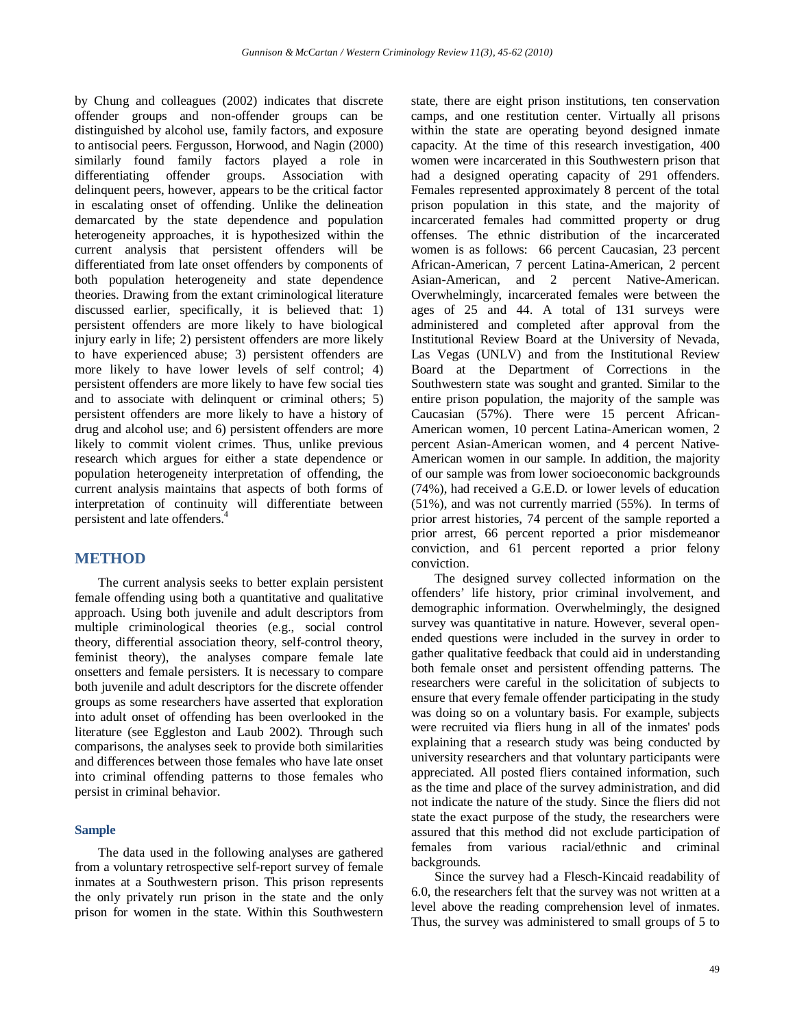by Chung and colleagues (2002) indicates that discrete offender groups and non-offender groups can be distinguished by alcohol use, family factors, and exposure to antisocial peers. Fergusson, Horwood, and Nagin (2000) similarly found family factors played a role in differentiating offender groups. Association with delinquent peers, however, appears to be the critical factor in escalating onset of offending. Unlike the delineation demarcated by the state dependence and population heterogeneity approaches, it is hypothesized within the current analysis that persistent offenders will be differentiated from late onset offenders by components of both population heterogeneity and state dependence theories. Drawing from the extant criminological literature discussed earlier, specifically, it is believed that: 1) persistent offenders are more likely to have biological injury early in life; 2) persistent offenders are more likely to have experienced abuse; 3) persistent offenders are more likely to have lower levels of self control; 4) persistent offenders are more likely to have few social ties and to associate with delinquent or criminal others; 5) persistent offenders are more likely to have a history of drug and alcohol use; and 6) persistent offenders are more likely to commit violent crimes. Thus, unlike previous research which argues for either a state dependence or population heterogeneity interpretation of offending, the current analysis maintains that aspects of both forms of interpretation of continuity will differentiate between persistent and late offenders.4

### **METHOD**

The current analysis seeks to better explain persistent female offending using both a quantitative and qualitative approach. Using both juvenile and adult descriptors from multiple criminological theories (e.g., social control theory, differential association theory, self-control theory, feminist theory), the analyses compare female late onsetters and female persisters. It is necessary to compare both juvenile and adult descriptors for the discrete offender groups as some researchers have asserted that exploration into adult onset of offending has been overlooked in the literature (see Eggleston and Laub 2002). Through such comparisons, the analyses seek to provide both similarities and differences between those females who have late onset into criminal offending patterns to those females who persist in criminal behavior.

### **Sample**

The data used in the following analyses are gathered from a voluntary retrospective self-report survey of female inmates at a Southwestern prison. This prison represents the only privately run prison in the state and the only prison for women in the state. Within this Southwestern

state, there are eight prison institutions, ten conservation camps, and one restitution center. Virtually all prisons within the state are operating beyond designed inmate capacity. At the time of this research investigation, 400 women were incarcerated in this Southwestern prison that had a designed operating capacity of 291 offenders. Females represented approximately 8 percent of the total prison population in this state, and the majority of incarcerated females had committed property or drug offenses. The ethnic distribution of the incarcerated women is as follows: 66 percent Caucasian, 23 percent African-American, 7 percent Latina-American, 2 percent Asian-American, and 2 percent Native-American. Overwhelmingly, incarcerated females were between the ages of 25 and 44. A total of 131 surveys were administered and completed after approval from the Institutional Review Board at the University of Nevada, Las Vegas (UNLV) and from the Institutional Review Board at the Department of Corrections in the Southwestern state was sought and granted. Similar to the entire prison population, the majority of the sample was Caucasian (57%). There were 15 percent African-American women, 10 percent Latina-American women, 2 percent Asian-American women, and 4 percent Native-American women in our sample. In addition, the majority of our sample was from lower socioeconomic backgrounds (74%), had received a G.E.D. or lower levels of education (51%), and was not currently married (55%). In terms of prior arrest histories, 74 percent of the sample reported a prior arrest, 66 percent reported a prior misdemeanor conviction, and 61 percent reported a prior felony conviction.

The designed survey collected information on the offenders' life history, prior criminal involvement, and demographic information. Overwhelmingly, the designed survey was quantitative in nature. However, several openended questions were included in the survey in order to gather qualitative feedback that could aid in understanding both female onset and persistent offending patterns. The researchers were careful in the solicitation of subjects to ensure that every female offender participating in the study was doing so on a voluntary basis. For example, subjects were recruited via fliers hung in all of the inmates' pods explaining that a research study was being conducted by university researchers and that voluntary participants were appreciated. All posted fliers contained information, such as the time and place of the survey administration, and did not indicate the nature of the study. Since the fliers did not state the exact purpose of the study, the researchers were assured that this method did not exclude participation of females from various racial/ethnic and criminal backgrounds.

Since the survey had a Flesch-Kincaid readability of 6.0, the researchers felt that the survey was not written at a level above the reading comprehension level of inmates. Thus, the survey was administered to small groups of 5 to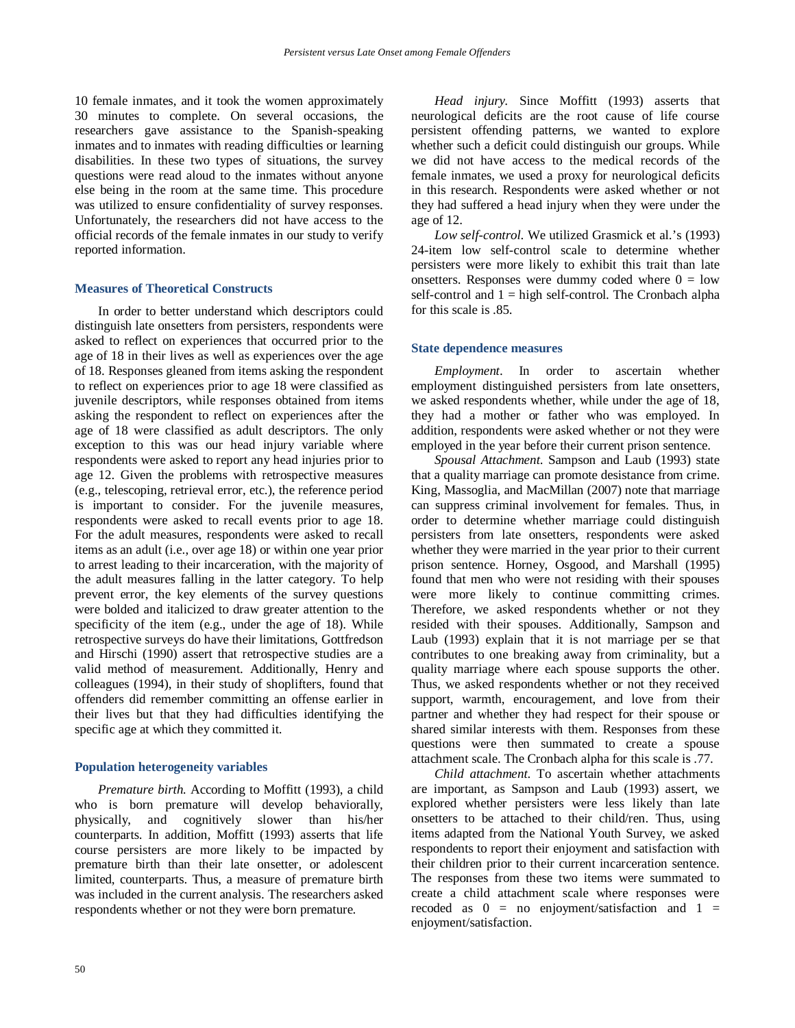10 female inmates, and it took the women approximately 30 minutes to complete. On several occasions, the researchers gave assistance to the Spanish-speaking inmates and to inmates with reading difficulties or learning disabilities. In these two types of situations, the survey questions were read aloud to the inmates without anyone else being in the room at the same time. This procedure was utilized to ensure confidentiality of survey responses. Unfortunately, the researchers did not have access to the official records of the female inmates in our study to verify reported information.

### **Measures of Theoretical Constructs**

In order to better understand which descriptors could distinguish late onsetters from persisters, respondents were asked to reflect on experiences that occurred prior to the age of 18 in their lives as well as experiences over the age of 18. Responses gleaned from items asking the respondent to reflect on experiences prior to age 18 were classified as juvenile descriptors, while responses obtained from items asking the respondent to reflect on experiences after the age of 18 were classified as adult descriptors. The only exception to this was our head injury variable where respondents were asked to report any head injuries prior to age 12. Given the problems with retrospective measures (e.g., telescoping, retrieval error, etc.), the reference period is important to consider. For the juvenile measures, respondents were asked to recall events prior to age 18. For the adult measures, respondents were asked to recall items as an adult (i.e., over age 18) or within one year prior to arrest leading to their incarceration, with the majority of the adult measures falling in the latter category. To help prevent error, the key elements of the survey questions were bolded and italicized to draw greater attention to the specificity of the item (e.g., under the age of 18). While retrospective surveys do have their limitations, Gottfredson and Hirschi (1990) assert that retrospective studies are a valid method of measurement. Additionally, Henry and colleagues (1994), in their study of shoplifters, found that offenders did remember committing an offense earlier in their lives but that they had difficulties identifying the specific age at which they committed it.

### **Population heterogeneity variables**

*Premature birth.* According to Moffitt (1993), a child who is born premature will develop behaviorally, physically, and cognitively slower than his/her counterparts. In addition, Moffitt (1993) asserts that life course persisters are more likely to be impacted by premature birth than their late onsetter, or adolescent limited, counterparts. Thus, a measure of premature birth was included in the current analysis. The researchers asked respondents whether or not they were born premature.

*Head injury.* Since Moffitt (1993) asserts that neurological deficits are the root cause of life course persistent offending patterns, we wanted to explore whether such a deficit could distinguish our groups. While we did not have access to the medical records of the female inmates, we used a proxy for neurological deficits in this research. Respondents were asked whether or not they had suffered a head injury when they were under the age of 12.

*Low self-control*. We utilized Grasmick et al.'s (1993) 24-item low self-control scale to determine whether persisters were more likely to exhibit this trait than late onsetters. Responses were dummy coded where  $0 =$  low self-control and  $1 =$  high self-control. The Cronbach alpha for this scale is .85.

#### **State dependence measures**

*Employment*. In order to ascertain whether employment distinguished persisters from late onsetters, we asked respondents whether, while under the age of 18, they had a mother or father who was employed. In addition, respondents were asked whether or not they were employed in the year before their current prison sentence.

*Spousal Attachment*. Sampson and Laub (1993) state that a quality marriage can promote desistance from crime. King, Massoglia, and MacMillan (2007) note that marriage can suppress criminal involvement for females. Thus, in order to determine whether marriage could distinguish persisters from late onsetters, respondents were asked whether they were married in the year prior to their current prison sentence. Horney, Osgood, and Marshall (1995) found that men who were not residing with their spouses were more likely to continue committing crimes. Therefore, we asked respondents whether or not they resided with their spouses. Additionally, Sampson and Laub (1993) explain that it is not marriage per se that contributes to one breaking away from criminality, but a quality marriage where each spouse supports the other. Thus, we asked respondents whether or not they received support, warmth, encouragement, and love from their partner and whether they had respect for their spouse or shared similar interests with them. Responses from these questions were then summated to create a spouse attachment scale. The Cronbach alpha for this scale is .77.

*Child attachment*. To ascertain whether attachments are important, as Sampson and Laub (1993) assert, we explored whether persisters were less likely than late onsetters to be attached to their child/ren. Thus, using items adapted from the National Youth Survey, we asked respondents to report their enjoyment and satisfaction with their children prior to their current incarceration sentence. The responses from these two items were summated to create a child attachment scale where responses were recoded as  $0 = no$  enjoyment/satisfaction and  $1 =$ enjoyment/satisfaction.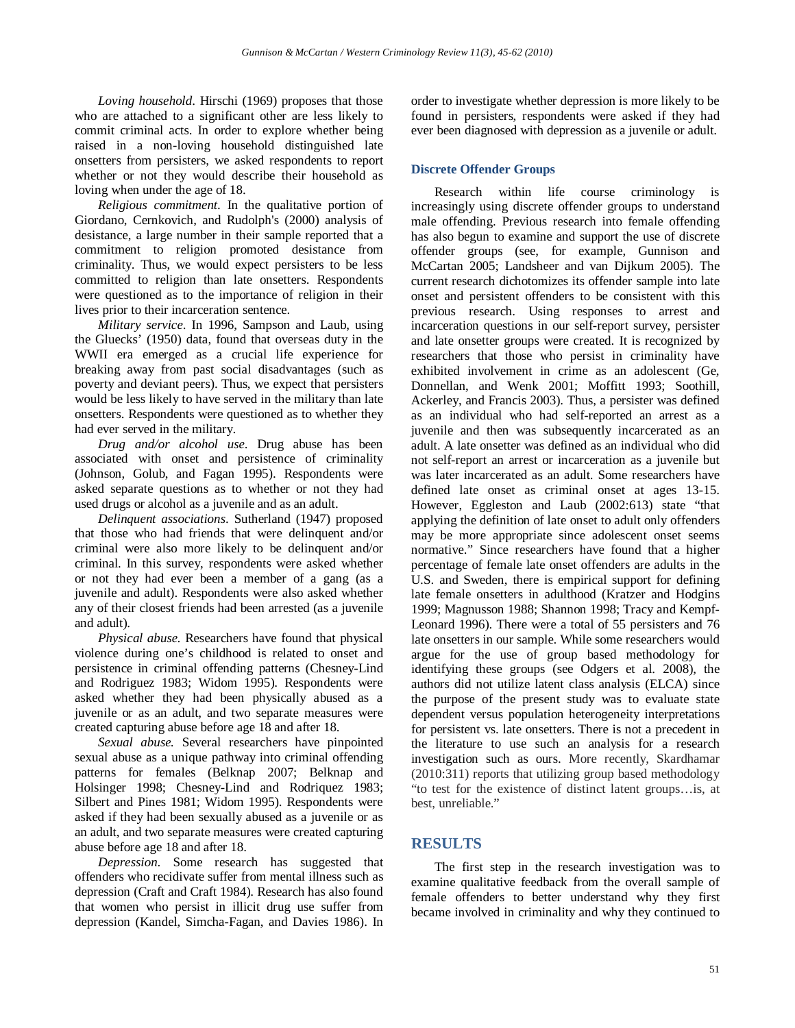*Loving household*. Hirschi (1969) proposes that those who are attached to a significant other are less likely to commit criminal acts. In order to explore whether being raised in a non-loving household distinguished late onsetters from persisters, we asked respondents to report whether or not they would describe their household as loving when under the age of 18.

*Religious commitment*. In the qualitative portion of Giordano, Cernkovich, and Rudolph's (2000) analysis of desistance, a large number in their sample reported that a commitment to religion promoted desistance from criminality. Thus, we would expect persisters to be less committed to religion than late onsetters. Respondents were questioned as to the importance of religion in their lives prior to their incarceration sentence.

*Military service*. In 1996, Sampson and Laub, using the Gluecks' (1950) data, found that overseas duty in the WWII era emerged as a crucial life experience for breaking away from past social disadvantages (such as poverty and deviant peers). Thus, we expect that persisters would be less likely to have served in the military than late onsetters. Respondents were questioned as to whether they had ever served in the military.

*Drug and/or alcohol use*. Drug abuse has been associated with onset and persistence of criminality (Johnson, Golub, and Fagan 1995). Respondents were asked separate questions as to whether or not they had used drugs or alcohol as a juvenile and as an adult.

*Delinquent associations*. Sutherland (1947) proposed that those who had friends that were delinquent and/or criminal were also more likely to be delinquent and/or criminal. In this survey, respondents were asked whether or not they had ever been a member of a gang (as a juvenile and adult). Respondents were also asked whether any of their closest friends had been arrested (as a juvenile and adult).

*Physical abuse.* Researchers have found that physical violence during one's childhood is related to onset and persistence in criminal offending patterns (Chesney-Lind and Rodriguez 1983; Widom 1995). Respondents were asked whether they had been physically abused as a juvenile or as an adult, and two separate measures were created capturing abuse before age 18 and after 18.

*Sexual abuse.* Several researchers have pinpointed sexual abuse as a unique pathway into criminal offending patterns for females (Belknap 2007; Belknap and Holsinger 1998; Chesney-Lind and Rodriquez 1983; Silbert and Pines 1981; Widom 1995). Respondents were asked if they had been sexually abused as a juvenile or as an adult, and two separate measures were created capturing abuse before age 18 and after 18.

*Depression*. Some research has suggested that offenders who recidivate suffer from mental illness such as depression (Craft and Craft 1984). Research has also found that women who persist in illicit drug use suffer from depression (Kandel, Simcha-Fagan, and Davies 1986). In

order to investigate whether depression is more likely to be found in persisters, respondents were asked if they had ever been diagnosed with depression as a juvenile or adult.

## **Discrete Offender Groups**

Research within life course criminology is increasingly using discrete offender groups to understand male offending. Previous research into female offending has also begun to examine and support the use of discrete offender groups (see, for example, Gunnison and McCartan 2005; Landsheer and van Dijkum 2005). The current research dichotomizes its offender sample into late onset and persistent offenders to be consistent with this previous research. Using responses to arrest and incarceration questions in our self-report survey, persister and late onsetter groups were created. It is recognized by researchers that those who persist in criminality have exhibited involvement in crime as an adolescent (Ge, Donnellan, and Wenk 2001; Moffitt 1993; Soothill, Ackerley, and Francis 2003). Thus, a persister was defined as an individual who had self-reported an arrest as a juvenile and then was subsequently incarcerated as an adult. A late onsetter was defined as an individual who did not self-report an arrest or incarceration as a juvenile but was later incarcerated as an adult. Some researchers have defined late onset as criminal onset at ages 13-15. However, Eggleston and Laub (2002:613) state "that applying the definition of late onset to adult only offenders may be more appropriate since adolescent onset seems normative." Since researchers have found that a higher percentage of female late onset offenders are adults in the U.S. and Sweden, there is empirical support for defining late female onsetters in adulthood (Kratzer and Hodgins 1999; Magnusson 1988; Shannon 1998; Tracy and Kempf-Leonard 1996). There were a total of 55 persisters and 76 late onsetters in our sample. While some researchers would argue for the use of group based methodology for identifying these groups (see Odgers et al. 2008), the authors did not utilize latent class analysis (ELCA) since the purpose of the present study was to evaluate state dependent versus population heterogeneity interpretations for persistent vs. late onsetters. There is not a precedent in the literature to use such an analysis for a research investigation such as ours. More recently, Skardhamar (2010:311) reports that utilizing group based methodology "to test for the existence of distinct latent groups…is, at best, unreliable."

# **RESULTS**

The first step in the research investigation was to examine qualitative feedback from the overall sample of female offenders to better understand why they first became involved in criminality and why they continued to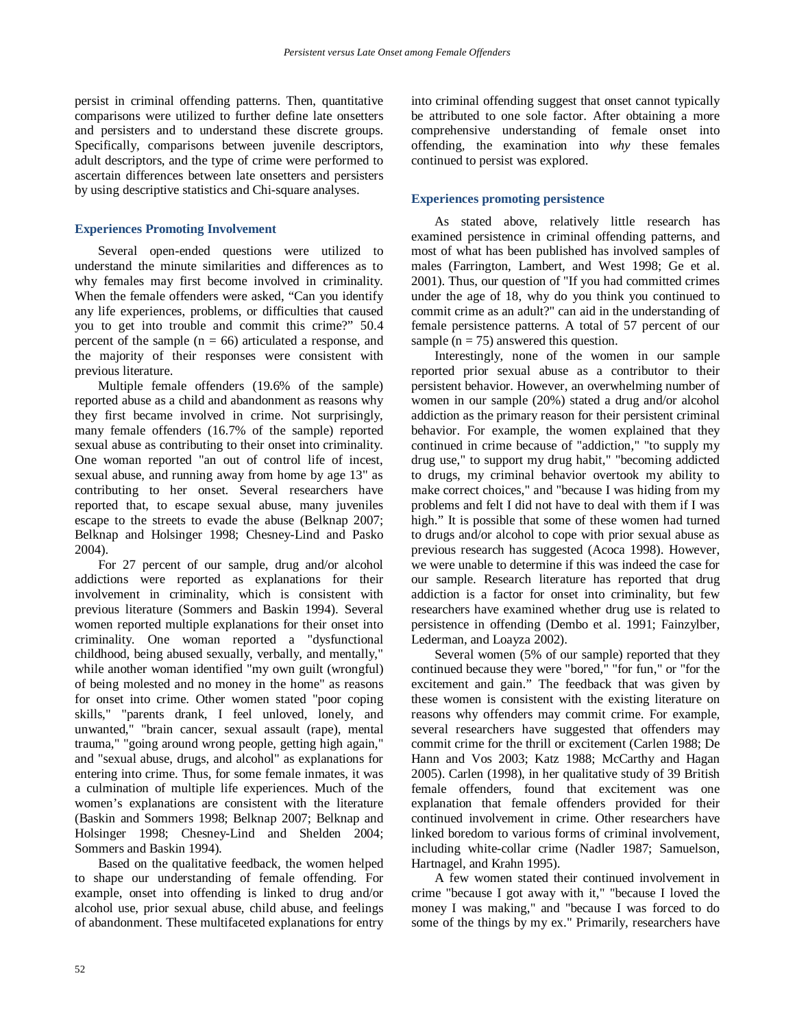persist in criminal offending patterns. Then, quantitative comparisons were utilized to further define late onsetters and persisters and to understand these discrete groups. Specifically, comparisons between juvenile descriptors, adult descriptors, and the type of crime were performed to ascertain differences between late onsetters and persisters by using descriptive statistics and Chi-square analyses.

### **Experiences Promoting Involvement**

Several open-ended questions were utilized to understand the minute similarities and differences as to why females may first become involved in criminality. When the female offenders were asked, "Can you identify any life experiences, problems, or difficulties that caused you to get into trouble and commit this crime?" 50.4 percent of the sample  $(n = 66)$  articulated a response, and the majority of their responses were consistent with previous literature.

Multiple female offenders (19.6% of the sample) reported abuse as a child and abandonment as reasons why they first became involved in crime. Not surprisingly, many female offenders (16.7% of the sample) reported sexual abuse as contributing to their onset into criminality. One woman reported "an out of control life of incest, sexual abuse, and running away from home by age 13" as contributing to her onset. Several researchers have reported that, to escape sexual abuse, many juveniles escape to the streets to evade the abuse (Belknap 2007; Belknap and Holsinger 1998; Chesney-Lind and Pasko 2004).

For 27 percent of our sample, drug and/or alcohol addictions were reported as explanations for their involvement in criminality, which is consistent with previous literature (Sommers and Baskin 1994). Several women reported multiple explanations for their onset into criminality. One woman reported a "dysfunctional childhood, being abused sexually, verbally, and mentally," while another woman identified "my own guilt (wrongful) of being molested and no money in the home" as reasons for onset into crime. Other women stated "poor coping skills," "parents drank, I feel unloved, lonely, and unwanted," "brain cancer, sexual assault (rape), mental trauma," "going around wrong people, getting high again," and "sexual abuse, drugs, and alcohol" as explanations for entering into crime. Thus, for some female inmates, it was a culmination of multiple life experiences. Much of the women's explanations are consistent with the literature (Baskin and Sommers 1998; Belknap 2007; Belknap and Holsinger 1998; Chesney-Lind and Shelden 2004; Sommers and Baskin 1994).

Based on the qualitative feedback, the women helped to shape our understanding of female offending. For example, onset into offending is linked to drug and/or alcohol use, prior sexual abuse, child abuse, and feelings of abandonment. These multifaceted explanations for entry into criminal offending suggest that onset cannot typically be attributed to one sole factor. After obtaining a more comprehensive understanding of female onset into offending, the examination into *why* these females continued to persist was explored.

# **Experiences promoting persistence**

As stated above, relatively little research has examined persistence in criminal offending patterns, and most of what has been published has involved samples of males (Farrington, Lambert, and West 1998; Ge et al. 2001). Thus, our question of "If you had committed crimes under the age of 18, why do you think you continued to commit crime as an adult?" can aid in the understanding of female persistence patterns. A total of 57 percent of our sample ( $n = 75$ ) answered this question.

Interestingly, none of the women in our sample reported prior sexual abuse as a contributor to their persistent behavior. However, an overwhelming number of women in our sample (20%) stated a drug and/or alcohol addiction as the primary reason for their persistent criminal behavior. For example, the women explained that they continued in crime because of "addiction," "to supply my drug use," to support my drug habit," "becoming addicted to drugs, my criminal behavior overtook my ability to make correct choices," and "because I was hiding from my problems and felt I did not have to deal with them if I was high." It is possible that some of these women had turned to drugs and/or alcohol to cope with prior sexual abuse as previous research has suggested (Acoca 1998). However, we were unable to determine if this was indeed the case for our sample. Research literature has reported that drug addiction is a factor for onset into criminality, but few researchers have examined whether drug use is related to persistence in offending (Dembo et al. 1991; Fainzylber, Lederman, and Loayza 2002).

Several women (5% of our sample) reported that they continued because they were "bored," "for fun," or "for the excitement and gain." The feedback that was given by these women is consistent with the existing literature on reasons why offenders may commit crime. For example, several researchers have suggested that offenders may commit crime for the thrill or excitement (Carlen 1988; De Hann and Vos 2003; Katz 1988; McCarthy and Hagan 2005). Carlen (1998), in her qualitative study of 39 British female offenders, found that excitement was one explanation that female offenders provided for their continued involvement in crime. Other researchers have linked boredom to various forms of criminal involvement, including white-collar crime (Nadler 1987; Samuelson, Hartnagel, and Krahn 1995).

A few women stated their continued involvement in crime "because I got away with it," "because I loved the money I was making," and "because I was forced to do some of the things by my ex." Primarily, researchers have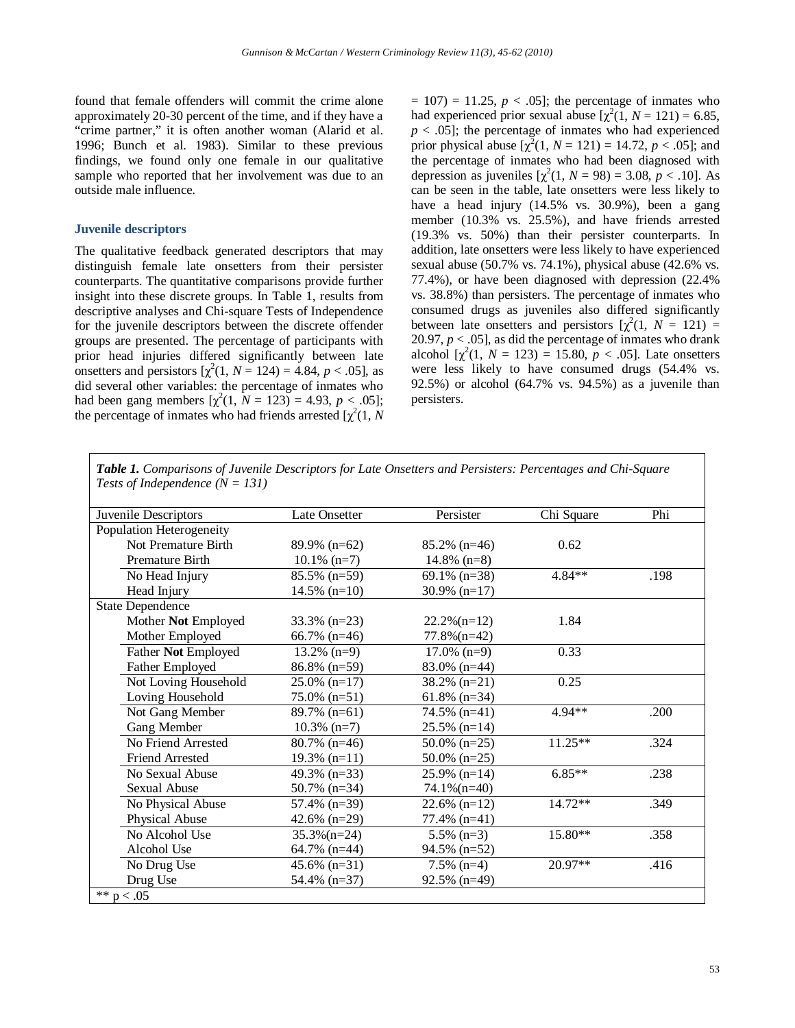found that female offenders will commit the crime alone approximately 20-30 percent of the time, and if they have a "crime partner," it is often another woman (Alarid et al. 1996; Bunch et al. 1983). Similar to these previous findings, we found only one female in our qualitative sample who reported that her involvement was due to an outside male influence.

### **Juvenile descriptors**

The qualitative feedback generated descriptors that may distinguish female late onsetters from their persister counterparts. The quantitative comparisons provide further insight into these discrete groups. In Table 1, results from descriptive analyses and Chi-square Tests of Independence for the juvenile descriptors between the discrete offender groups are presented. The percentage of participants with prior head injuries differed significantly between late onsetters and persistors  $[\chi^2(1, N = 124) = 4.84, p < .05]$ , as did several other variables: the percentage of inmates who had been gang members  $[\chi^2(1, N = 123) = 4.93, p < .05]$ ; the percentage of inmates who had friends arrested  $[\chi^2(1, N)]$ 

 $= 107$ )  $= 11.25, p < .05$ ; the percentage of inmates who had experienced prior sexual abuse  $[\chi^2(1, N = 121) = 6.85]$ ,  $p < .05$ ]; the percentage of inmates who had experienced prior physical abuse  $[\chi^2(1, N = 121) = 14.72, p < .05]$ ; and the percentage of inmates who had been diagnosed with depression as juveniles  $[\chi^2(1, N = 98) = 3.08, p < .10]$ . As can be seen in the table, late onsetters were less likely to have a head injury (14.5% vs. 30.9%), been a gang member (10.3% vs. 25.5%), and have friends arrested (19.3% vs. 50%) than their persister counterparts. In addition, late onsetters were less likely to have experienced sexual abuse (50.7% vs. 74.1%), physical abuse (42.6% vs. 77.4%), or have been diagnosed with depression (22.4% vs. 38.8%) than persisters. The percentage of inmates who consumed drugs as juveniles also differed significantly between late onsetters and persistors  $[\chi^2(1, N = 121) =$ 20.97,  $p < .05$ ], as did the percentage of inmates who drank alcohol  $[\chi^2(1, N = 123) = 15.80, p < .05]$ . Late onsetters were less likely to have consumed drugs (54.4% vs. 92.5%) or alcohol (64.7% vs. 94.5%) as a juvenile than persisters.

*Table 1. Comparisons of Juvenile Descriptors for Late Onsetters and Persisters: Percentages and Chi-Square Tests of Independence (N = 131)*

| Juvenile Descriptors     | <b>Late Onsetter</b> | Persister       | Chi Square | Phi  |
|--------------------------|----------------------|-----------------|------------|------|
| Population Heterogeneity |                      |                 |            |      |
| Not Premature Birth      | $89.9\%$ (n=62)      | $85.2\%$ (n=46) | 0.62       |      |
| Premature Birth          | $10.1\%$ (n=7)       | $14.8\%$ (n=8)  |            |      |
| No Head Injury           | $85.5\%$ (n=59)      | 69.1% $(n=38)$  | 4.84**     | .198 |
| Head Injury              | $14.5\%$ (n=10)      | 30.9% $(n=17)$  |            |      |
| <b>State Dependence</b>  |                      |                 |            |      |
| Mother Not Employed      | $33.3\%$ (n=23)      | $22.2\%$ (n=12) | 1.84       |      |
| Mother Employed          | 66.7% $(n=46)$       | $77.8\%$ (n=42) |            |      |
| Father Not Employed      | $13.2\%$ (n=9)       | $17.0\%$ (n=9)  | 0.33       |      |
| <b>Father Employed</b>   | $86.8\%$ (n=59)      | $83.0\%$ (n=44) |            |      |
| Not Loving Household     | $25.0\%$ (n=17)      | 38.2% (n=21)    | 0.25       |      |
| Loving Household         | $75.0\%$ (n=51)      | 61.8% $(n=34)$  |            |      |
| Not Gang Member          | $89.7\%$ (n=61)      | $74.5\%$ (n=41) | $4.94**$   | .200 |
| Gang Member              | $10.3\%$ (n=7)       | $25.5\%$ (n=14) |            |      |
| No Friend Arrested       | $80.7\%$ (n=46)      | $50.0\%$ (n=25) | 11.25**    | .324 |
| <b>Friend Arrested</b>   | $19.3\%$ (n=11)      | 50.0% $(n=25)$  |            |      |
| No Sexual Abuse          | 49.3% $(n=33)$       | $25.9\%$ (n=14) | $6.85**$   | .238 |
| <b>Sexual Abuse</b>      | 50.7% $(n=34)$       | $74.1\%$ (n=40) |            |      |
| No Physical Abuse        | $57.4\%$ (n=39)      | 22.6% $(n=12)$  | $14.72**$  | .349 |
| Physical Abuse           | 42.6% $(n=29)$       | 77.4% (n=41)    |            |      |
| No Alcohol Use           | $35.3\%$ (n=24)      | $5.5\%$ (n=3)   | 15.80**    | .358 |
| Alcohol Use              | 64.7% $(n=44)$       | 94.5% (n=52)    |            |      |
| No Drug Use              | 45.6% $(n=31)$       | $7.5\%$ (n=4)   | 20.97**    | .416 |
| Drug Use                 | 54.4% (n=37)         | $92.5\%$ (n=49) |            |      |
| ** $p < .05$             |                      |                 |            |      |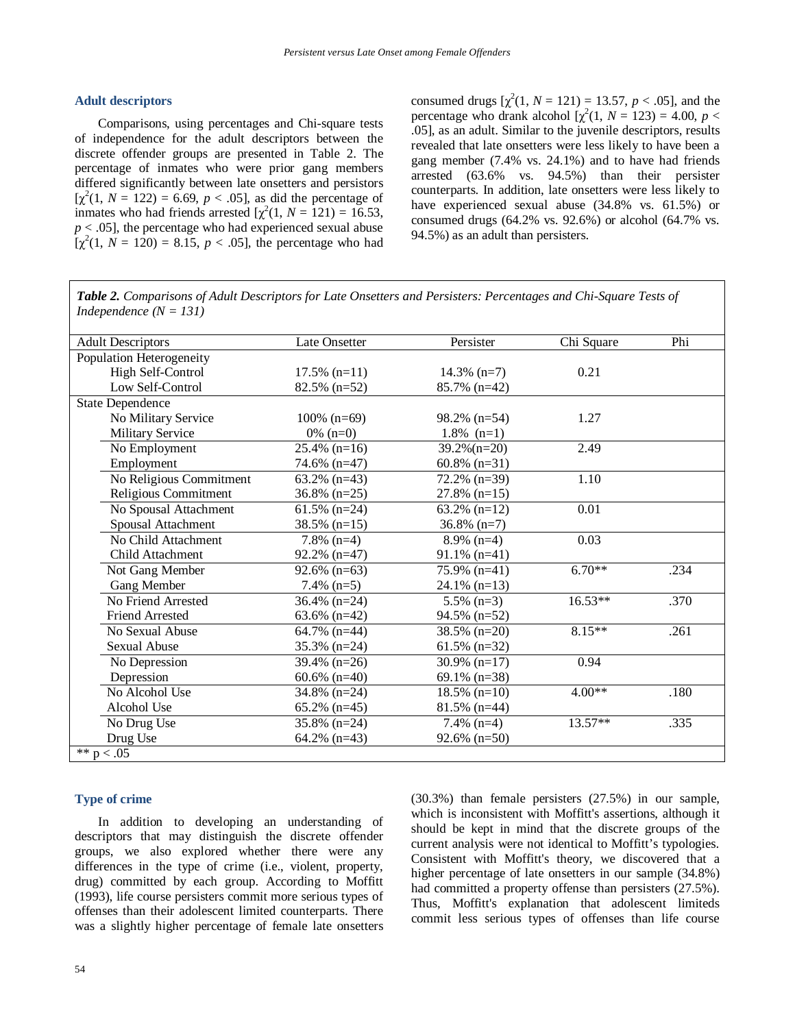### **Adult descriptors**

Comparisons, using percentages and Chi-square tests of independence for the adult descriptors between the discrete offender groups are presented in Table 2. The percentage of inmates who were prior gang members differed significantly between late onsetters and persistors  $[\chi^2(1, N = 122) = 6.69, p < .05]$ , as did the percentage of inmates who had friends arrested  $[\chi^2(1, N = 121) = 16.53]$ ,  $p < .05$ ], the percentage who had experienced sexual abuse  $[\chi^2(1, N = 120) = 8.15, p < .05]$ , the percentage who had

consumed drugs  $[\chi^2(1, N = 121) = 13.57, p < .05]$ , and the percentage who drank alcohol  $[\chi^2(1, N = 123) = 4.00, p <$ .05], as an adult. Similar to the juvenile descriptors, results revealed that late onsetters were less likely to have been a gang member (7.4% vs. 24.1%) and to have had friends arrested (63.6% vs. 94.5%) than their persister counterparts. In addition, late onsetters were less likely to have experienced sexual abuse (34.8% vs. 61.5%) or consumed drugs (64.2% vs. 92.6%) or alcohol (64.7% vs. 94.5%) as an adult than persisters.

*Table 2. Comparisons of Adult Descriptors for Late Onsetters and Persisters: Percentages and Chi-Square Tests of Independence (N = 131)*

| <b>Adult Descriptors</b> | Late Onsetter   | Persister       | Chi Square | Phi  |
|--------------------------|-----------------|-----------------|------------|------|
| Population Heterogeneity |                 |                 |            |      |
| High Self-Control        | $17.5\%$ (n=11) | $14.3\%$ (n=7)  | 0.21       |      |
| Low Self-Control         | $82.5\%$ (n=52) | $85.7\%$ (n=42) |            |      |
| <b>State Dependence</b>  |                 |                 |            |      |
| No Military Service      | $100\%$ (n=69)  | $98.2\%$ (n=54) | 1.27       |      |
| <b>Military Service</b>  | $0\%$ (n=0)     | $1.8\%$ (n=1)   |            |      |
| No Employment            | $25.4\%$ (n=16) | $39.2\%$ (n=20) | 2.49       |      |
| Employment               | 74.6% (n=47)    | 60.8% $(n=31)$  |            |      |
| No Religious Commitment  | $63.2\%$ (n=43) | $72.2\%$ (n=39) | 1.10       |      |
| Religious Commitment     | $36.8\%$ (n=25) | $27.8\%$ (n=15) |            |      |
| No Spousal Attachment    | $61.5\%$ (n=24) | 63.2% $(n=12)$  | 0.01       |      |
| Spousal Attachment       | $38.5\%$ (n=15) | $36.8\%$ (n=7)  |            |      |
| No Child Attachment      | $7.8\%$ (n=4)   | $8.9\%$ (n=4)   | 0.03       |      |
| Child Attachment         | $92.2\%$ (n=47) | $91.1\%$ (n=41) |            |      |
| Not Gang Member          | $92.6\%$ (n=63) | 75.9% (n=41)    | $6.70**$   | .234 |
| Gang Member              | $7.4\%$ (n=5)   | $24.1\%$ (n=13) |            |      |
| No Friend Arrested       | $36.4\%$ (n=24) | $5.5\%$ (n=3)   | 16.53**    | .370 |
| <b>Friend Arrested</b>   | 63.6% $(n=42)$  | $94.5\%$ (n=52) |            |      |
| No Sexual Abuse          | $64.7\%$ (n=44) | $38.5\%$ (n=20) | $8.15**$   | .261 |
| Sexual Abuse             | $35.3\%$ (n=24) | 61.5% $(n=32)$  |            |      |
| No Depression            | 39.4% $(n=26)$  | 30.9% $(n=17)$  | 0.94       |      |
| Depression               | $60.6\%$ (n=40) | 69.1% $(n=38)$  |            |      |
| No Alcohol Use           | $34.8\%$ (n=24) | $18.5\%$ (n=10) | $4.00**$   | .180 |
| Alcohol Use              | $65.2\%$ (n=45) | $81.5\%$ (n=44) |            |      |
| No Drug Use              | $35.8\%$ (n=24) | $7.4\%$ (n=4)   | $13.57**$  | .335 |
| Drug Use                 | 64.2% $(n=43)$  | $92.6\%$ (n=50) |            |      |
| ** $p < .05$             |                 |                 |            |      |

## **Type of crime**

In addition to developing an understanding of descriptors that may distinguish the discrete offender groups, we also explored whether there were any differences in the type of crime (i.e., violent, property, drug) committed by each group. According to Moffitt (1993), life course persisters commit more serious types of offenses than their adolescent limited counterparts. There was a slightly higher percentage of female late onsetters (30.3%) than female persisters (27.5%) in our sample, which is inconsistent with Moffitt's assertions, although it should be kept in mind that the discrete groups of the current analysis were not identical to Moffitt's typologies. Consistent with Moffitt's theory, we discovered that a higher percentage of late onsetters in our sample (34.8%) had committed a property offense than persisters (27.5%). Thus, Moffitt's explanation that adolescent limiteds commit less serious types of offenses than life course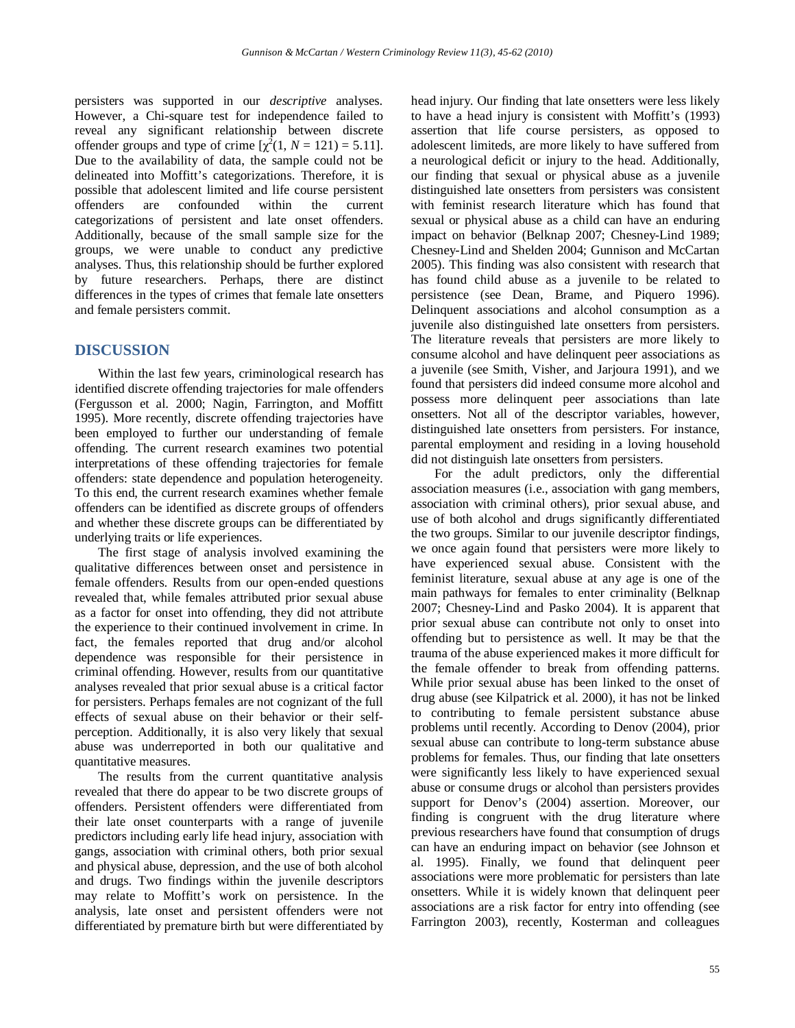persisters was supported in our *descriptive* analyses. However, a Chi-square test for independence failed to reveal any significant relationship between discrete offender groups and type of crime  $[\chi^2(1, N = 121) = 5.11]$ . Due to the availability of data, the sample could not be delineated into Moffitt's categorizations. Therefore, it is possible that adolescent limited and life course persistent offenders are confounded within the current categorizations of persistent and late onset offenders. Additionally, because of the small sample size for the groups, we were unable to conduct any predictive analyses. Thus, this relationship should be further explored by future researchers. Perhaps, there are distinct differences in the types of crimes that female late onsetters and female persisters commit.

# **DISCUSSION**

Within the last few years, criminological research has identified discrete offending trajectories for male offenders (Fergusson et al. 2000; Nagin, Farrington, and Moffitt 1995). More recently, discrete offending trajectories have been employed to further our understanding of female offending. The current research examines two potential interpretations of these offending trajectories for female offenders: state dependence and population heterogeneity. To this end, the current research examines whether female offenders can be identified as discrete groups of offenders and whether these discrete groups can be differentiated by underlying traits or life experiences.

The first stage of analysis involved examining the qualitative differences between onset and persistence in female offenders. Results from our open-ended questions revealed that, while females attributed prior sexual abuse as a factor for onset into offending, they did not attribute the experience to their continued involvement in crime. In fact, the females reported that drug and/or alcohol dependence was responsible for their persistence in criminal offending. However, results from our quantitative analyses revealed that prior sexual abuse is a critical factor for persisters. Perhaps females are not cognizant of the full effects of sexual abuse on their behavior or their selfperception. Additionally, it is also very likely that sexual abuse was underreported in both our qualitative and quantitative measures.

The results from the current quantitative analysis revealed that there do appear to be two discrete groups of offenders. Persistent offenders were differentiated from their late onset counterparts with a range of juvenile predictors including early life head injury, association with gangs, association with criminal others, both prior sexual and physical abuse, depression, and the use of both alcohol and drugs. Two findings within the juvenile descriptors may relate to Moffitt's work on persistence. In the analysis, late onset and persistent offenders were not differentiated by premature birth but were differentiated by head injury. Our finding that late onsetters were less likely to have a head injury is consistent with Moffitt's (1993) assertion that life course persisters, as opposed to adolescent limiteds, are more likely to have suffered from a neurological deficit or injury to the head. Additionally, our finding that sexual or physical abuse as a juvenile distinguished late onsetters from persisters was consistent with feminist research literature which has found that sexual or physical abuse as a child can have an enduring impact on behavior (Belknap 2007; Chesney-Lind 1989; Chesney-Lind and Shelden 2004; Gunnison and McCartan 2005). This finding was also consistent with research that has found child abuse as a juvenile to be related to persistence (see Dean, Brame, and Piquero 1996). Delinquent associations and alcohol consumption as a juvenile also distinguished late onsetters from persisters. The literature reveals that persisters are more likely to consume alcohol and have delinquent peer associations as a juvenile (see Smith, Visher, and Jarjoura 1991), and we found that persisters did indeed consume more alcohol and possess more delinquent peer associations than late onsetters. Not all of the descriptor variables, however, distinguished late onsetters from persisters. For instance, parental employment and residing in a loving household did not distinguish late onsetters from persisters.

For the adult predictors, only the differential association measures (i.e., association with gang members, association with criminal others), prior sexual abuse, and use of both alcohol and drugs significantly differentiated the two groups. Similar to our juvenile descriptor findings, we once again found that persisters were more likely to have experienced sexual abuse. Consistent with the feminist literature, sexual abuse at any age is one of the main pathways for females to enter criminality (Belknap 2007; Chesney-Lind and Pasko 2004). It is apparent that prior sexual abuse can contribute not only to onset into offending but to persistence as well. It may be that the trauma of the abuse experienced makes it more difficult for the female offender to break from offending patterns. While prior sexual abuse has been linked to the onset of drug abuse (see Kilpatrick et al. 2000), it has not be linked to contributing to female persistent substance abuse problems until recently. According to Denov (2004), prior sexual abuse can contribute to long-term substance abuse problems for females. Thus, our finding that late onsetters were significantly less likely to have experienced sexual abuse or consume drugs or alcohol than persisters provides support for Denov's (2004) assertion. Moreover, our finding is congruent with the drug literature where previous researchers have found that consumption of drugs can have an enduring impact on behavior (see Johnson et al. 1995). Finally, we found that delinquent peer associations were more problematic for persisters than late onsetters. While it is widely known that delinquent peer associations are a risk factor for entry into offending (see Farrington 2003), recently, Kosterman and colleagues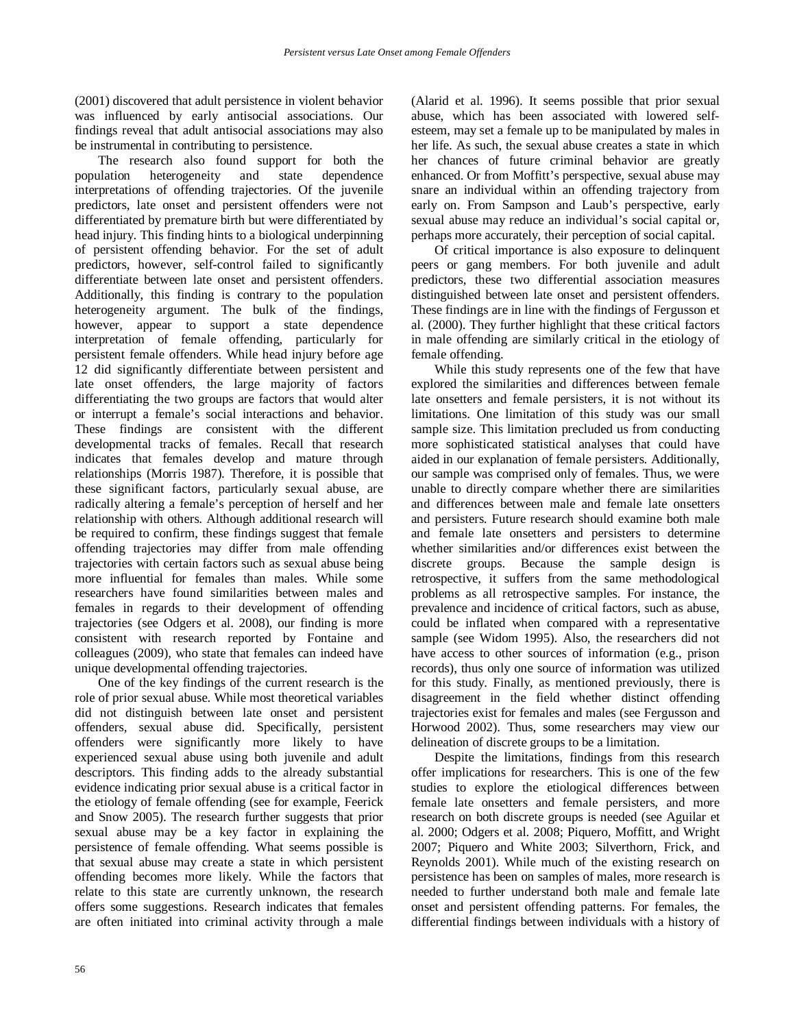(2001) discovered that adult persistence in violent behavior was influenced by early antisocial associations. Our findings reveal that adult antisocial associations may also be instrumental in contributing to persistence.

The research also found support for both the population heterogeneity and state dependence interpretations of offending trajectories. Of the juvenile predictors, late onset and persistent offenders were not differentiated by premature birth but were differentiated by head injury. This finding hints to a biological underpinning of persistent offending behavior. For the set of adult predictors, however, self-control failed to significantly differentiate between late onset and persistent offenders. Additionally, this finding is contrary to the population heterogeneity argument. The bulk of the findings, however, appear to support a state dependence interpretation of female offending, particularly for persistent female offenders. While head injury before age 12 did significantly differentiate between persistent and late onset offenders, the large majority of factors differentiating the two groups are factors that would alter or interrupt a female's social interactions and behavior. These findings are consistent with the different developmental tracks of females. Recall that research indicates that females develop and mature through relationships (Morris 1987). Therefore, it is possible that these significant factors, particularly sexual abuse, are radically altering a female's perception of herself and her relationship with others. Although additional research will be required to confirm, these findings suggest that female offending trajectories may differ from male offending trajectories with certain factors such as sexual abuse being more influential for females than males. While some researchers have found similarities between males and females in regards to their development of offending trajectories (see Odgers et al. 2008), our finding is more consistent with research reported by Fontaine and colleagues (2009), who state that females can indeed have unique developmental offending trajectories.

One of the key findings of the current research is the role of prior sexual abuse. While most theoretical variables did not distinguish between late onset and persistent offenders, sexual abuse did. Specifically, persistent offenders were significantly more likely to have experienced sexual abuse using both juvenile and adult descriptors. This finding adds to the already substantial evidence indicating prior sexual abuse is a critical factor in the etiology of female offending (see for example, Feerick and Snow 2005). The research further suggests that prior sexual abuse may be a key factor in explaining the persistence of female offending. What seems possible is that sexual abuse may create a state in which persistent offending becomes more likely. While the factors that relate to this state are currently unknown, the research offers some suggestions. Research indicates that females are often initiated into criminal activity through a male (Alarid et al. 1996). It seems possible that prior sexual abuse, which has been associated with lowered selfesteem, may set a female up to be manipulated by males in her life. As such, the sexual abuse creates a state in which her chances of future criminal behavior are greatly enhanced. Or from Moffitt's perspective, sexual abuse may snare an individual within an offending trajectory from early on. From Sampson and Laub's perspective, early sexual abuse may reduce an individual's social capital or, perhaps more accurately, their perception of social capital.

Of critical importance is also exposure to delinquent peers or gang members. For both juvenile and adult predictors, these two differential association measures distinguished between late onset and persistent offenders. These findings are in line with the findings of Fergusson et al. (2000). They further highlight that these critical factors in male offending are similarly critical in the etiology of female offending.

While this study represents one of the few that have explored the similarities and differences between female late onsetters and female persisters, it is not without its limitations. One limitation of this study was our small sample size. This limitation precluded us from conducting more sophisticated statistical analyses that could have aided in our explanation of female persisters. Additionally, our sample was comprised only of females. Thus, we were unable to directly compare whether there are similarities and differences between male and female late onsetters and persisters. Future research should examine both male and female late onsetters and persisters to determine whether similarities and/or differences exist between the discrete groups. Because the sample design is retrospective, it suffers from the same methodological problems as all retrospective samples. For instance, the prevalence and incidence of critical factors, such as abuse, could be inflated when compared with a representative sample (see Widom 1995). Also, the researchers did not have access to other sources of information (e.g., prison records), thus only one source of information was utilized for this study. Finally, as mentioned previously, there is disagreement in the field whether distinct offending trajectories exist for females and males (see Fergusson and Horwood 2002). Thus, some researchers may view our delineation of discrete groups to be a limitation.

Despite the limitations, findings from this research offer implications for researchers. This is one of the few studies to explore the etiological differences between female late onsetters and female persisters, and more research on both discrete groups is needed (see Aguilar et al. 2000; Odgers et al. 2008; Piquero, Moffitt, and Wright 2007; Piquero and White 2003; Silverthorn, Frick, and Reynolds 2001). While much of the existing research on persistence has been on samples of males, more research is needed to further understand both male and female late onset and persistent offending patterns. For females, the differential findings between individuals with a history of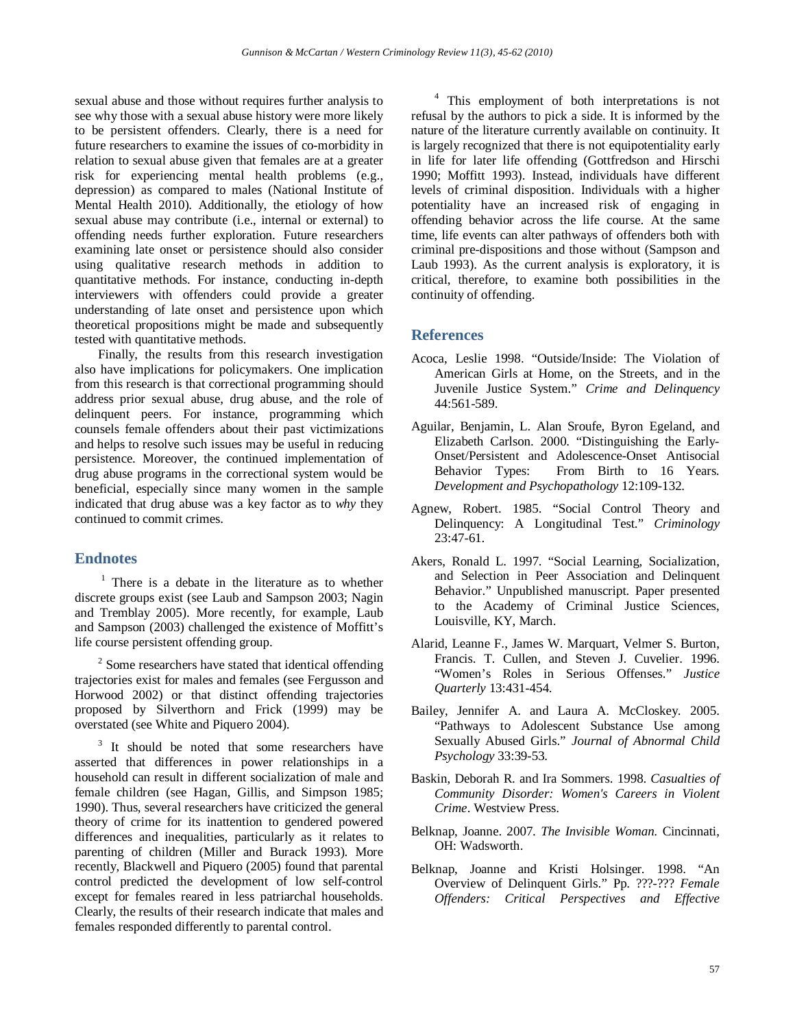sexual abuse and those without requires further analysis to see why those with a sexual abuse history were more likely to be persistent offenders. Clearly, there is a need for future researchers to examine the issues of co-morbidity in relation to sexual abuse given that females are at a greater risk for experiencing mental health problems (e.g., depression) as compared to males (National Institute of Mental Health 2010). Additionally, the etiology of how sexual abuse may contribute (i.e., internal or external) to offending needs further exploration. Future researchers examining late onset or persistence should also consider using qualitative research methods in addition to quantitative methods. For instance, conducting in-depth interviewers with offenders could provide a greater understanding of late onset and persistence upon which theoretical propositions might be made and subsequently tested with quantitative methods.

Finally, the results from this research investigation also have implications for policymakers. One implication from this research is that correctional programming should address prior sexual abuse, drug abuse, and the role of delinquent peers. For instance, programming which counsels female offenders about their past victimizations and helps to resolve such issues may be useful in reducing persistence. Moreover, the continued implementation of drug abuse programs in the correctional system would be beneficial, especially since many women in the sample indicated that drug abuse was a key factor as to *why* they continued to commit crimes.

# **Endnotes**

 $<sup>1</sup>$  There is a debate in the literature as to whether</sup> discrete groups exist (see Laub and Sampson 2003; Nagin and Tremblay 2005). More recently, for example, Laub and Sampson (2003) challenged the existence of Moffitt's life course persistent offending group.

 $2$  Some researchers have stated that identical offending trajectories exist for males and females (see Fergusson and Horwood 2002) or that distinct offending trajectories proposed by Silverthorn and Frick (1999) may be overstated (see White and Piquero 2004).

<sup>3</sup> It should be noted that some researchers have asserted that differences in power relationships in a household can result in different socialization of male and female children (see Hagan, Gillis, and Simpson 1985; 1990). Thus, several researchers have criticized the general theory of crime for its inattention to gendered powered differences and inequalities, particularly as it relates to parenting of children (Miller and Burack 1993). More recently, Blackwell and Piquero (2005) found that parental control predicted the development of low self-control except for females reared in less patriarchal households. Clearly, the results of their research indicate that males and females responded differently to parental control.

<sup>4</sup> This employment of both interpretations is not refusal by the authors to pick a side. It is informed by the nature of the literature currently available on continuity. It is largely recognized that there is not equipotentiality early in life for later life offending (Gottfredson and Hirschi 1990; Moffitt 1993). Instead, individuals have different levels of criminal disposition. Individuals with a higher potentiality have an increased risk of engaging in offending behavior across the life course. At the same time, life events can alter pathways of offenders both with criminal pre-dispositions and those without (Sampson and Laub 1993). As the current analysis is exploratory, it is critical, therefore, to examine both possibilities in the continuity of offending.

# **References**

- Acoca, Leslie 1998. "Outside/Inside: The Violation of American Girls at Home, on the Streets, and in the Juvenile Justice System." *Crime and Delinquency* 44:561-589.
- Aguilar, Benjamin, L. Alan Sroufe, Byron Egeland, and Elizabeth Carlson. 2000. "Distinguishing the Early-Onset/Persistent and Adolescence-Onset Antisocial From Birth to 16 Years. *Development and Psychopathology* 12:109-132.
- Agnew, Robert. 1985. "Social Control Theory and Delinquency: A Longitudinal Test." *Criminology*  $23:47-61$ .
- Akers, Ronald L. 1997. "Social Learning, Socialization, and Selection in Peer Association and Delinquent Behavior." Unpublished manuscript. Paper presented to the Academy of Criminal Justice Sciences, Louisville, KY, March.
- Alarid, Leanne F., James W. Marquart, Velmer S. Burton, Francis. T. Cullen, and Steven J. Cuvelier. 1996. "Women's Roles in Serious Offenses." *Justice Quarterly* 13:431-454.
- Bailey, Jennifer A. and Laura A. McCloskey. 2005. "Pathways to Adolescent Substance Use among Sexually Abused Girls." *Journal of Abnormal Child Psychology* 33:39-53.
- Baskin, Deborah R. and Ira Sommers. 1998. *Casualties of Community Disorder: Women's Careers in Violent Crime*. Westview Press.
- Belknap, Joanne. 2007. *The Invisible Woman*. Cincinnati, OH: Wadsworth.
- Belknap, Joanne and Kristi Holsinger. 1998. "An Overview of Delinquent Girls." Pp. ???-??? *Female Offenders: Critical Perspectives and Effective*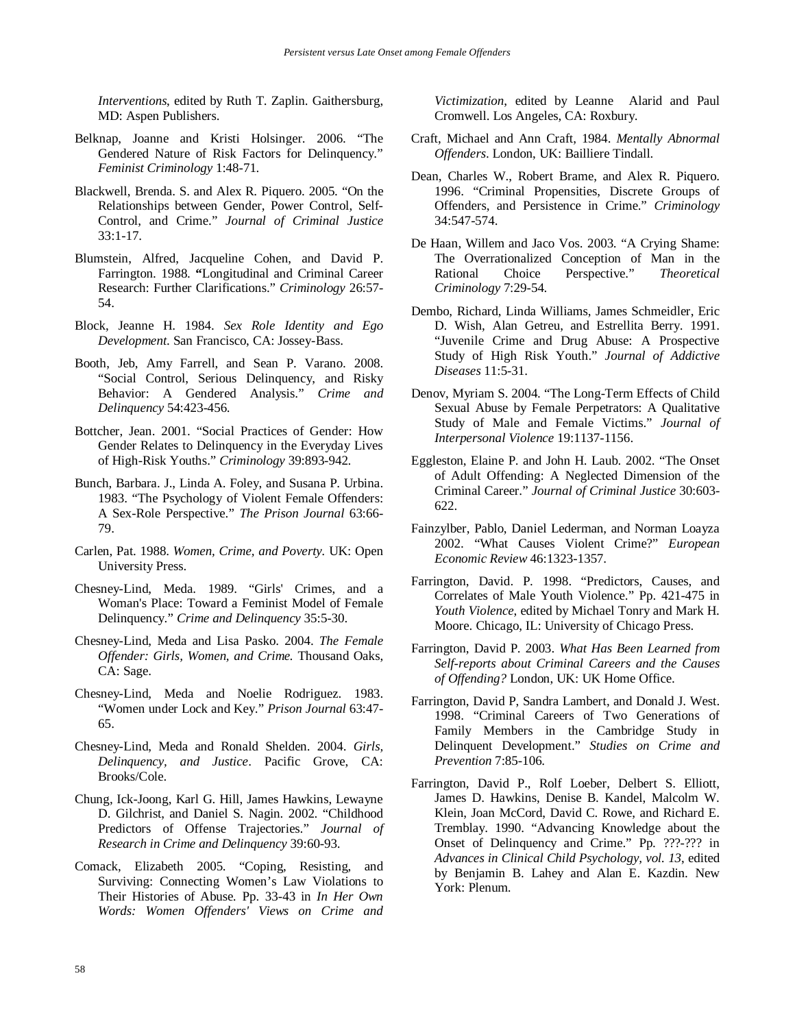*Interventions*, edited by Ruth T. Zaplin. Gaithersburg, MD: Aspen Publishers.

- Belknap, Joanne and Kristi Holsinger. 2006. "The Gendered Nature of Risk Factors for Delinquency." *Feminist Criminology* 1:48-71.
- Blackwell, Brenda. S. and Alex R. Piquero. 2005. "On the Relationships between Gender, Power Control, Self-Control, and Crime." *Journal of Criminal Justice*  33:1-17.
- Blumstein, Alfred, Jacqueline Cohen, and David P. Farrington. 1988. **"**Longitudinal and Criminal Career Research: Further Clarifications." *Criminology* 26:57- 54.
- Block, Jeanne H. 1984. *Sex Role Identity and Ego Development*. San Francisco, CA: Jossey-Bass.
- Booth, Jeb, Amy Farrell, and Sean P. Varano. 2008. "Social Control, Serious Delinquency, and Risky Behavior: A Gendered Analysis." *Crime and Delinquency* 54:423-456.
- Bottcher, Jean. 2001. "Social Practices of Gender: How Gender Relates to Delinquency in the Everyday Lives of High-Risk Youths." *Criminology* 39:893-942.
- Bunch, Barbara. J., Linda A. Foley, and Susana P. Urbina. 1983. "The Psychology of Violent Female Offenders: A Sex-Role Perspective." *The Prison Journal* 63:66- 79.
- Carlen, Pat. 1988. *Women, Crime, and Poverty.* UK: Open University Press.
- Chesney-Lind, Meda. 1989. "Girls' Crimes, and a Woman's Place: Toward a Feminist Model of Female Delinquency." *Crime and Delinquency* 35:5-30.
- Chesney-Lind, Meda and Lisa Pasko. 2004. *The Female Offender: Girls, Women, and Crime.* Thousand Oaks, CA: Sage.
- Chesney-Lind, Meda and Noelie Rodriguez. 1983. "Women under Lock and Key." *Prison Journal* 63:47- 65.
- Chesney-Lind, Meda and Ronald Shelden. 2004. *Girls, Delinquency, and Justice*. Pacific Grove, CA: Brooks/Cole.
- Chung, Ick-Joong, Karl G. Hill, James Hawkins, Lewayne D. Gilchrist, and Daniel S. Nagin. 2002. "Childhood Predictors of Offense Trajectories." *Journal of Research in Crime and Delinquency* 39:60-93.
- Comack, Elizabeth 2005. "Coping, Resisting, and Surviving: Connecting Women's Law Violations to Their Histories of Abuse*.* Pp. 33-43 in *In Her Own Words: Women Offenders' Views on Crime and*

*Victimization*, edited by Leanne Alarid and Paul Cromwell. Los Angeles, CA: Roxbury.

- Craft, Michael and Ann Craft, 1984. *Mentally Abnormal Offenders*. London, UK: Bailliere Tindall.
- Dean, Charles W., Robert Brame, and Alex R. Piquero. 1996. "Criminal Propensities, Discrete Groups of Offenders, and Persistence in Crime." *Criminology* 34:547-574.
- De Haan, Willem and Jaco Vos. 2003. "A Crying Shame: The Overrationalized Conception of Man in the Rational Choice Perspective." *Theoretical Criminology* 7:29-54.
- Dembo, Richard, Linda Williams, James Schmeidler, Eric D. Wish, Alan Getreu, and Estrellita Berry. 1991. "Juvenile Crime and Drug Abuse: A Prospective Study of High Risk Youth." *Journal of Addictive Diseases* 11:5-31.
- Denov, Myriam S. 2004. "The Long-Term Effects of Child Sexual Abuse by Female Perpetrators: A Qualitative Study of Male and Female Victims." *Journal of Interpersonal Violence* 19:1137-1156.
- Eggleston, Elaine P. and John H. Laub. 2002. "The Onset of Adult Offending: A Neglected Dimension of the Criminal Career." *Journal of Criminal Justice* 30:603- 622.
- Fainzylber, Pablo, Daniel Lederman, and Norman Loayza 2002. "What Causes Violent Crime?" *European Economic Review* 46:1323-1357.
- Farrington, David. P. 1998. "Predictors, Causes, and Correlates of Male Youth Violence." Pp. 421-475 in *Youth Violence*, edited by Michael Tonry and Mark H. Moore. Chicago, IL: University of Chicago Press.
- Farrington, David P. 2003. *What Has Been Learned from Self-reports about Criminal Careers and the Causes of Offending?* London, UK: UK Home Office.
- Farrington, David P, Sandra Lambert, and Donald J. West. 1998. "Criminal Careers of Two Generations of Family Members in the Cambridge Study in Delinquent Development." *Studies on Crime and Prevention* 7:85-106.
- Farrington, David P., Rolf Loeber, Delbert S. Elliott, James D. Hawkins, Denise B. Kandel, Malcolm W. Klein, Joan McCord, David C. Rowe, and Richard E. Tremblay. 1990. "Advancing Knowledge about the Onset of Delinquency and Crime." Pp. ???-??? in *Advances in Clinical Child Psychology, vol. 13*, edited by Benjamin B. Lahey and Alan E. Kazdin. New York: Plenum.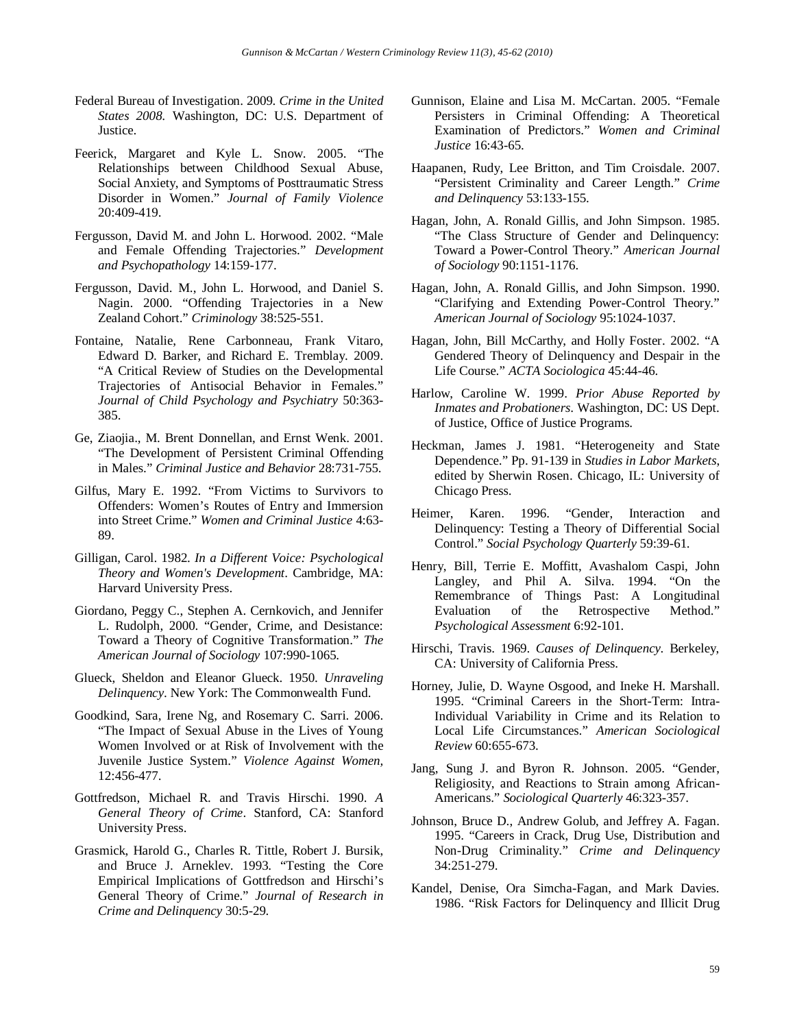- Federal Bureau of Investigation. 2009. *Crime in the United States 2008.* Washington, DC: U.S. Department of Justice.
- Feerick, Margaret and Kyle L. Snow. 2005. "The Relationships between Childhood Sexual Abuse, Social Anxiety, and Symptoms of Posttraumatic Stress Disorder in Women." *Journal of Family Violence* 20:409-419.
- Fergusson, David M. and John L. Horwood. 2002. "Male and Female Offending Trajectories." *Development and Psychopathology* 14:159-177.
- Fergusson, David. M., John L. Horwood, and Daniel S. Nagin. 2000. "Offending Trajectories in a New Zealand Cohort." *Criminology* 38:525-551.
- Fontaine, Natalie, Rene Carbonneau, Frank Vitaro, Edward D. Barker, and Richard E. Tremblay. 2009. "A Critical Review of Studies on the Developmental Trajectories of Antisocial Behavior in Females." *Journal of Child Psychology and Psychiatry* 50:363- 385.
- Ge, Ziaojia., M. Brent Donnellan, and Ernst Wenk. 2001. "The Development of Persistent Criminal Offending in Males." *Criminal Justice and Behavior* 28:731-755.
- Gilfus, Mary E. 1992. "From Victims to Survivors to Offenders: Women's Routes of Entry and Immersion into Street Crime." *Women and Criminal Justice* 4:63- 89.
- Gilligan, Carol. 1982. *In a Different Voice: Psychological Theory and Women's Development*. Cambridge, MA: Harvard University Press.
- Giordano, Peggy C., Stephen A. Cernkovich, and Jennifer L. Rudolph, 2000. "Gender, Crime, and Desistance: Toward a Theory of Cognitive Transformation." *The American Journal of Sociology* 107:990-1065.
- Glueck, Sheldon and Eleanor Glueck. 1950. *Unraveling Delinquency*. New York: The Commonwealth Fund.
- Goodkind, Sara, Irene Ng, and Rosemary C. Sarri. 2006. "The Impact of Sexual Abuse in the Lives of Young Women Involved or at Risk of Involvement with the Juvenile Justice System." *Violence Against Women,*  12:456-477.
- Gottfredson, Michael R. and Travis Hirschi. 1990. *A General Theory of Crime*. Stanford, CA: Stanford University Press.
- Grasmick, Harold G., Charles R. Tittle, Robert J. Bursik, and Bruce J. Arneklev. 1993. "Testing the Core Empirical Implications of Gottfredson and Hirschi's General Theory of Crime." *Journal of Research in Crime and Delinquency* 30:5-29.
- Gunnison, Elaine and Lisa M. McCartan. 2005. "Female Persisters in Criminal Offending: A Theoretical Examination of Predictors." *Women and Criminal Justice* 16:43-65.
- Haapanen, Rudy, Lee Britton, and Tim Croisdale. 2007. "Persistent Criminality and Career Length." *Crime and Delinquency* 53:133-155.
- Hagan, John, A. Ronald Gillis, and John Simpson. 1985. "The Class Structure of Gender and Delinquency: Toward a Power-Control Theory." *American Journal of Sociology* 90:1151-1176.
- Hagan, John, A. Ronald Gillis, and John Simpson. 1990. "Clarifying and Extending Power-Control Theory." *American Journal of Sociology* 95:1024-1037.
- Hagan, John, Bill McCarthy, and Holly Foster. 2002. "A Gendered Theory of Delinquency and Despair in the Life Course." *ACTA Sociologica* 45:44-46.
- Harlow, Caroline W. 1999. *Prior Abuse Reported by Inmates and Probationers*. Washington, DC: US Dept. of Justice, Office of Justice Programs.
- Heckman, James J. 1981. "Heterogeneity and State Dependence." Pp. 91-139 in *Studies in Labor Markets*, edited by Sherwin Rosen. Chicago, IL: University of Chicago Press.
- Heimer, Karen. 1996. "Gender, Interaction and Delinquency: Testing a Theory of Differential Social Control." *Social Psychology Quarterly* 59:39-61.
- Henry, Bill, Terrie E. Moffitt, Avashalom Caspi, John Langley, and Phil A. Silva. 1994. "On the Remembrance of Things Past: A Longitudinal Evaluation of the Retrospective Method." *Psychological Assessment* 6:92-101.
- Hirschi, Travis. 1969. *Causes of Delinquency*. Berkeley, CA: University of California Press.
- Horney, Julie, D. Wayne Osgood, and Ineke H. Marshall. 1995. "Criminal Careers in the Short-Term: Intra-Individual Variability in Crime and its Relation to Local Life Circumstances." *American Sociological Review* 60:655-673.
- Jang, Sung J. and Byron R. Johnson. 2005. "Gender, Religiosity, and Reactions to Strain among African-Americans." *Sociological Quarterly* 46:323-357.
- Johnson, Bruce D., Andrew Golub, and Jeffrey A. Fagan. 1995. "Careers in Crack, Drug Use, Distribution and Non-Drug Criminality." *Crime and Delinquency* 34:251-279.
- Kandel, Denise, Ora Simcha-Fagan, and Mark Davies. 1986. "Risk Factors for Delinquency and Illicit Drug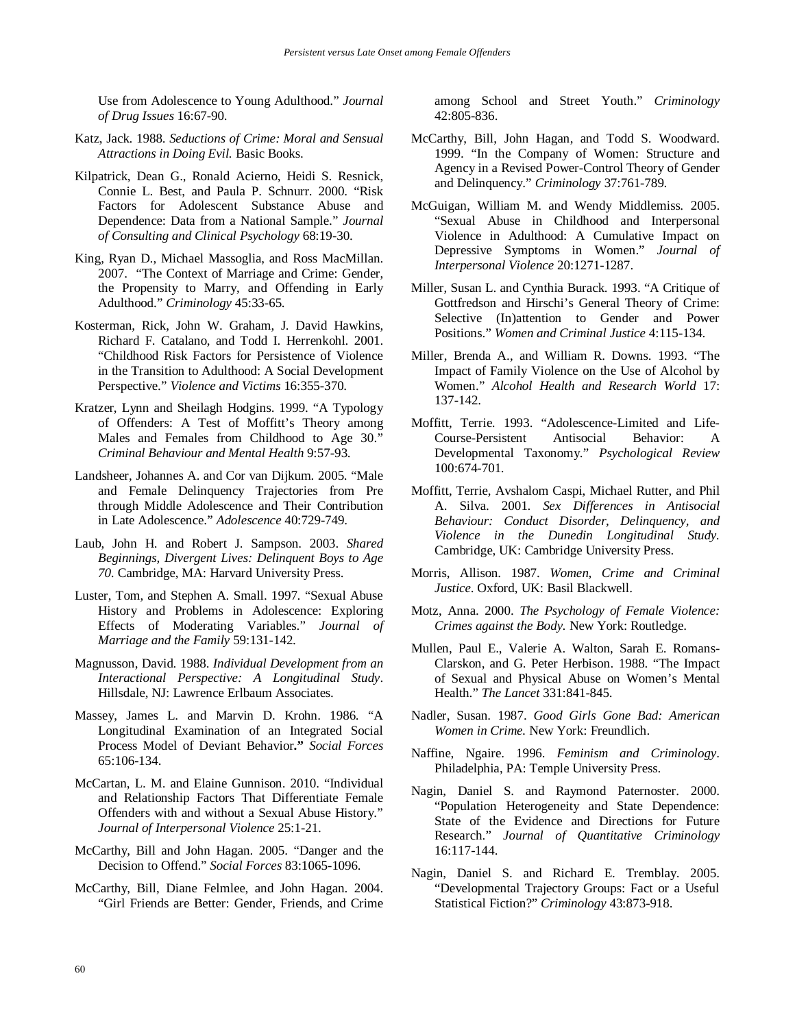Use from Adolescence to Young Adulthood." *Journal of Drug Issues* 16:67-90.

- Katz, Jack. 1988. *Seductions of Crime: Moral and Sensual Attractions in Doing Evil.* Basic Books.
- Kilpatrick, Dean G., Ronald Acierno, Heidi S. Resnick, Connie L. Best, and Paula P. Schnurr. 2000. "Risk Factors for Adolescent Substance Abuse and Dependence: Data from a National Sample." *Journal of Consulting and Clinical Psychology* 68:19-30.
- King, Ryan D., Michael Massoglia, and Ross MacMillan. 2007. "The Context of Marriage and Crime: Gender, the Propensity to Marry, and Offending in Early Adulthood." *Criminology* 45:33-65.
- Kosterman, Rick, John W. Graham, J. David Hawkins, Richard F. Catalano, and Todd I. Herrenkohl. 2001. "Childhood Risk Factors for Persistence of Violence in the Transition to Adulthood: A Social Development Perspective." *Violence and Victims* 16:355-370.
- Kratzer, Lynn and Sheilagh Hodgins. 1999. "A Typology of Offenders: A Test of Moffitt's Theory among Males and Females from Childhood to Age 30." *Criminal Behaviour and Mental Health* 9:57-93.
- Landsheer, Johannes A. and Cor van Dijkum. 2005. "Male and Female Delinquency Trajectories from Pre through Middle Adolescence and Their Contribution in Late Adolescence." *Adolescence* 40:729-749.
- Laub, John H. and Robert J. Sampson. 2003. *Shared Beginnings, Divergent Lives: Delinquent Boys to Age 70.* Cambridge, MA: Harvard University Press.
- Luster, Tom, and Stephen A. Small. 1997. "Sexual Abuse History and Problems in Adolescence: Exploring Effects of Moderating Variables." *Journal of Marriage and the Family* 59:131-142.
- Magnusson, David. 1988. *Individual Development from an Interactional Perspective: A Longitudinal Study*. Hillsdale, NJ: Lawrence Erlbaum Associates.
- Massey, James L. and Marvin D. Krohn. 1986. "A Longitudinal Examination of an Integrated Social Process Model of Deviant Behavior**."** *Social Forces* 65:106-134.
- McCartan, L. M. and Elaine Gunnison. 2010. "Individual and Relationship Factors That Differentiate Female Offenders with and without a Sexual Abuse History." *Journal of Interpersonal Violence* 25:1-21.
- McCarthy, Bill and John Hagan. 2005. "Danger and the Decision to Offend." *Social Forces* 83:1065-1096.
- McCarthy, Bill, Diane Felmlee, and John Hagan. 2004. "Girl Friends are Better: Gender, Friends, and Crime

among School and Street Youth." *Criminology* 42:805-836.

- McCarthy, Bill, John Hagan, and Todd S. Woodward. 1999. "In the Company of Women: Structure and Agency in a Revised Power-Control Theory of Gender and Delinquency." *Criminology* 37:761-789.
- McGuigan, William M. and Wendy Middlemiss. 2005. "Sexual Abuse in Childhood and Interpersonal Violence in Adulthood: A Cumulative Impact on Depressive Symptoms in Women." *Journal of Interpersonal Violence* 20:1271-1287.
- Miller, Susan L. and Cynthia Burack. 1993. "A Critique of Gottfredson and Hirschi's General Theory of Crime: Selective (In)attention to Gender and Power Positions." *Women and Criminal Justice* 4:115-134.
- Miller, Brenda A., and William R. Downs. 1993. "The Impact of Family Violence on the Use of Alcohol by Women." *Alcohol Health and Research World* 17: 137-142.
- Moffitt, Terrie. 1993. "Adolescence-Limited and Life-Course-Persistent Antisocial Behavior: A Developmental Taxonomy." *Psychological Review* 100:674-701.
- Moffitt, Terrie, Avshalom Caspi, Michael Rutter, and Phil A. Silva. 2001. *Sex Differences in Antisocial Behaviour: Conduct Disorder, Delinquency, and Violence in the Dunedin Longitudinal Study.*  Cambridge, UK: Cambridge University Press.
- Morris, Allison. 1987. *Women, Crime and Criminal Justice*. Oxford, UK: Basil Blackwell.
- Motz, Anna. 2000. *The Psychology of Female Violence: Crimes against the Body.* New York: Routledge.
- Mullen, Paul E., Valerie A. Walton, Sarah E. Romans-Clarskon, and G. Peter Herbison. 1988. "The Impact of Sexual and Physical Abuse on Women's Mental Health." *The Lancet* 331:841-845.
- Nadler, Susan. 1987. *Good Girls Gone Bad: American Women in Crime.* New York: Freundlich.
- Naffine, Ngaire. 1996. *Feminism and Criminology*. Philadelphia, PA: Temple University Press.
- Nagin, Daniel S. and Raymond Paternoster. 2000. "Population Heterogeneity and State Dependence: State of the Evidence and Directions for Future Research." *Journal of Quantitative Criminology* 16:117-144.
- Nagin, Daniel S. and Richard E. Tremblay. 2005. "Developmental Trajectory Groups: Fact or a Useful Statistical Fiction?" *Criminology* 43:873-918.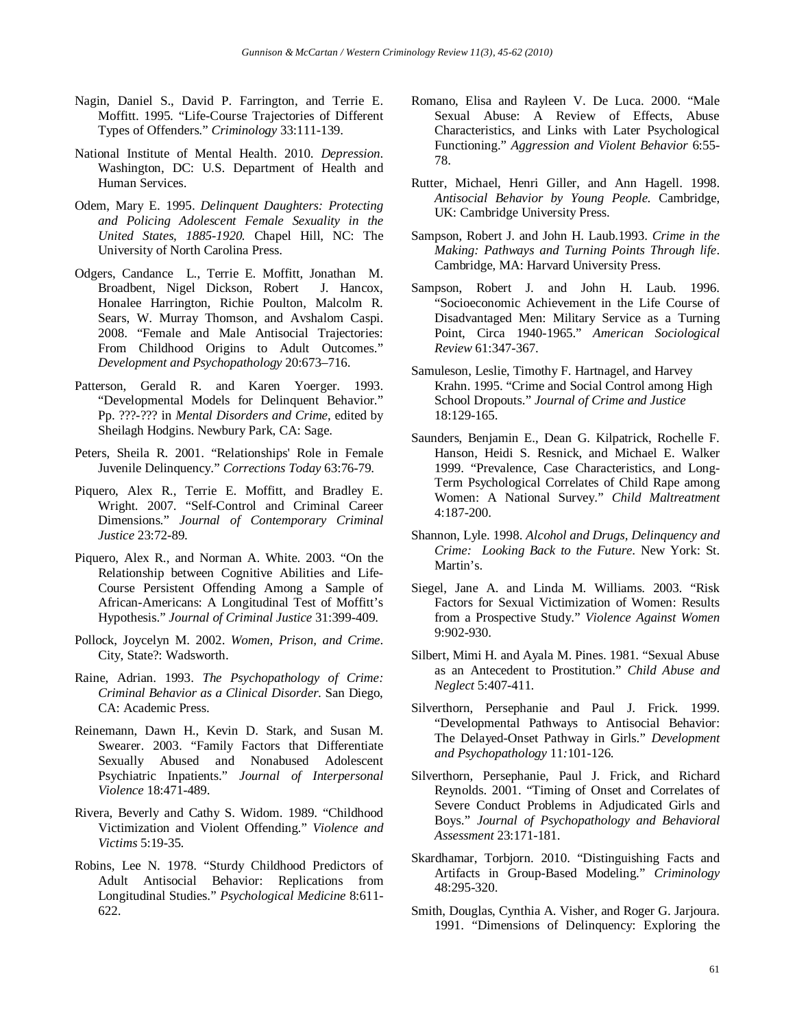- Nagin, Daniel S., David P. Farrington, and Terrie E. Moffitt. 1995. "Life-Course Trajectories of Different Types of Offenders." *Criminology* 33:111-139.
- National Institute of Mental Health. 2010. *Depression*. Washington, DC: U.S. Department of Health and Human Services.
- Odem, Mary E. 1995. *Delinquent Daughters: Protecting and Policing Adolescent Female Sexuality in the United States, 1885-1920.* Chapel Hill, NC: The University of North Carolina Press.
- Odgers, Candance L., Terrie E. Moffitt, Jonathan M. Broadbent, Nigel Dickson, Robert J. Hancox, Honalee Harrington, Richie Poulton, Malcolm R. Sears, W. Murray Thomson, and Avshalom Caspi. 2008. "Female and Male Antisocial Trajectories: From Childhood Origins to Adult Outcomes." *Development and Psychopathology* 20:673–716.
- Patterson, Gerald R. and Karen Yoerger. 1993. "Developmental Models for Delinquent Behavior." Pp. ???-??? in *Mental Disorders and Crime*, edited by Sheilagh Hodgins. Newbury Park, CA: Sage.
- Peters, Sheila R. 2001. "Relationships' Role in Female Juvenile Delinquency." *Corrections Today* 63:76-79.
- Piquero, Alex R., Terrie E. Moffitt, and Bradley E. Wright. 2007. "Self-Control and Criminal Career Dimensions." *Journal of Contemporary Criminal Justice* 23:72-89.
- Piquero, Alex R., and Norman A. White. 2003. "On the Relationship between Cognitive Abilities and Life-Course Persistent Offending Among a Sample of African-Americans: A Longitudinal Test of Moffitt's Hypothesis." *Journal of Criminal Justice* 31:399-409.
- Pollock, Joycelyn M. 2002. *Women, Prison, and Crime*. City, State?: Wadsworth.
- Raine, Adrian. 1993. *The Psychopathology of Crime: Criminal Behavior as a Clinical Disorder*. San Diego, CA: Academic Press.
- Reinemann, Dawn H., Kevin D. Stark, and Susan M. Swearer. 2003. "Family Factors that Differentiate Sexually Abused and Nonabused Adolescent Psychiatric Inpatients." *Journal of Interpersonal Violence* 18:471-489.
- Rivera, Beverly and Cathy S. Widom. 1989. "Childhood Victimization and Violent Offending." *Violence and Victims* 5:19-35.
- Robins, Lee N. 1978. "Sturdy Childhood Predictors of Adult Antisocial Behavior: Replications from Longitudinal Studies." *Psychological Medicine* 8:611- 622.
- Romano, Elisa and Rayleen V. De Luca. 2000. "Male Sexual Abuse: A Review of Effects, Abuse Characteristics, and Links with Later Psychological Functioning." *Aggression and Violent Behavior* 6:55- 78.
- Rutter, Michael, Henri Giller, and Ann Hagell. 1998. *Antisocial Behavior by Young People.* Cambridge, UK: Cambridge University Press.
- Sampson, Robert J. and John H. Laub.1993. *Crime in the Making: Pathways and Turning Points Through life*. Cambridge, MA: Harvard University Press.
- Sampson, Robert J. and John H. Laub. 1996. "Socioeconomic Achievement in the Life Course of Disadvantaged Men: Military Service as a Turning Point, Circa 1940-1965." *American Sociological Review* 61:347-367.
- Samuleson, Leslie, Timothy F. Hartnagel, and Harvey Krahn. 1995. "Crime and Social Control among High School Dropouts." *Journal of Crime and Justice*  18:129-165.
- Saunders, Benjamin E., Dean G. Kilpatrick, Rochelle F. Hanson, Heidi S. Resnick, and Michael E. Walker 1999. "Prevalence, Case Characteristics, and Long-Term Psychological Correlates of Child Rape among Women: A National Survey." *Child Maltreatment*  4:187-200.
- Shannon, Lyle. 1998. *Alcohol and Drugs, Delinquency and Crime: Looking Back to the Future*. New York: St. Martin's.
- Siegel, Jane A. and Linda M. Williams. 2003. "Risk Factors for Sexual Victimization of Women: Results from a Prospective Study." *Violence Against Women* 9:902-930.
- Silbert, Mimi H. and Ayala M. Pines. 1981. "Sexual Abuse as an Antecedent to Prostitution." *Child Abuse and Neglect* 5:407-411.
- Silverthorn, Persephanie and Paul J. Frick. 1999. "Developmental Pathways to Antisocial Behavior: The Delayed-Onset Pathway in Girls." *Development and Psychopathology* 11*:*101-126.
- Silverthorn, Persephanie, Paul J. Frick, and Richard Reynolds. 2001. "Timing of Onset and Correlates of Severe Conduct Problems in Adjudicated Girls and Boys." *Journal of Psychopathology and Behavioral Assessment* 23:171-181.
- Skardhamar, Torbjorn. 2010. "Distinguishing Facts and Artifacts in Group-Based Modeling." *Criminology* 48:295-320.
- Smith, Douglas, Cynthia A. Visher, and Roger G. Jarjoura. 1991. "Dimensions of Delinquency: Exploring the